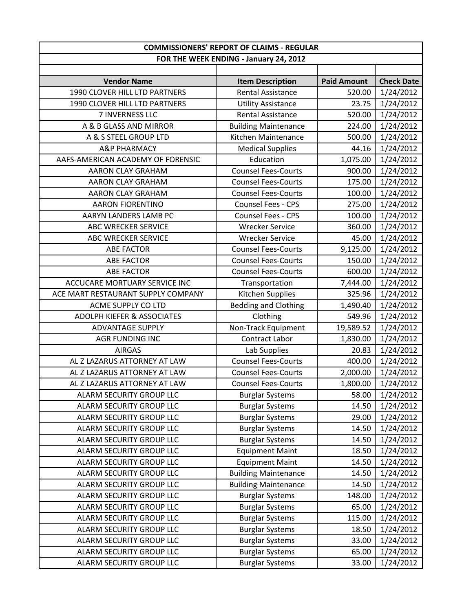| <b>COMMISSIONERS' REPORT OF CLAIMS - REGULAR</b> |                                        |                    |                   |
|--------------------------------------------------|----------------------------------------|--------------------|-------------------|
|                                                  | FOR THE WEEK ENDING - January 24, 2012 |                    |                   |
|                                                  |                                        |                    |                   |
| <b>Vendor Name</b>                               | <b>Item Description</b>                | <b>Paid Amount</b> | <b>Check Date</b> |
| 1990 CLOVER HILL LTD PARTNERS                    | <b>Rental Assistance</b>               | 520.00             | 1/24/2012         |
| 1990 CLOVER HILL LTD PARTNERS                    | <b>Utility Assistance</b>              | 23.75              | 1/24/2012         |
| 7 INVERNESS LLC                                  | <b>Rental Assistance</b>               | 520.00             | 1/24/2012         |
| A & B GLASS AND MIRROR                           | <b>Building Maintenance</b>            | 224.00             | 1/24/2012         |
| A & S STEEL GROUP LTD                            | Kitchen Maintenance                    | 500.00             | 1/24/2012         |
| <b>A&amp;P PHARMACY</b>                          | <b>Medical Supplies</b>                | 44.16              | 1/24/2012         |
| AAFS-AMERICAN ACADEMY OF FORENSIC                | Education                              | 1,075.00           | 1/24/2012         |
| <b>AARON CLAY GRAHAM</b>                         | <b>Counsel Fees-Courts</b>             | 900.00             | 1/24/2012         |
| AARON CLAY GRAHAM                                | <b>Counsel Fees-Courts</b>             | 175.00             | 1/24/2012         |
| AARON CLAY GRAHAM                                | <b>Counsel Fees-Courts</b>             | 100.00             | 1/24/2012         |
| <b>AARON FIORENTINO</b>                          | <b>Counsel Fees - CPS</b>              | 275.00             | 1/24/2012         |
| AARYN LANDERS LAMB PC                            | <b>Counsel Fees - CPS</b>              | 100.00             | 1/24/2012         |
| ABC WRECKER SERVICE                              | <b>Wrecker Service</b>                 | 360.00             | 1/24/2012         |
| <b>ABC WRECKER SERVICE</b>                       | <b>Wrecker Service</b>                 | 45.00              | 1/24/2012         |
| <b>ABE FACTOR</b>                                | <b>Counsel Fees-Courts</b>             | 9,125.00           | 1/24/2012         |
| <b>ABE FACTOR</b>                                | <b>Counsel Fees-Courts</b>             | 150.00             | 1/24/2012         |
| <b>ABE FACTOR</b>                                | <b>Counsel Fees-Courts</b>             | 600.00             | 1/24/2012         |
| ACCUCARE MORTUARY SERVICE INC                    | Transportation                         | 7,444.00           | 1/24/2012         |
| ACE MART RESTAURANT SUPPLY COMPANY               | Kitchen Supplies                       | 325.96             | 1/24/2012         |
| ACME SUPPLY CO LTD                               | <b>Bedding and Clothing</b>            | 1,490.40           | 1/24/2012         |
| <b>ADOLPH KIEFER &amp; ASSOCIATES</b>            | Clothing                               | 549.96             | 1/24/2012         |
| <b>ADVANTAGE SUPPLY</b>                          | Non-Track Equipment                    | 19,589.52          | 1/24/2012         |
| AGR FUNDING INC                                  | Contract Labor                         | 1,830.00           | 1/24/2012         |
| <b>AIRGAS</b>                                    | Lab Supplies                           | 20.83              | 1/24/2012         |
| AL Z LAZARUS ATTORNEY AT LAW                     | <b>Counsel Fees-Courts</b>             | 400.00             | 1/24/2012         |
| AL Z LAZARUS ATTORNEY AT LAW                     | <b>Counsel Fees-Courts</b>             | 2,000.00           | 1/24/2012         |
| AL Z LAZARUS ATTORNEY AT LAW                     | <b>Counsel Fees-Courts</b>             | 1,800.00           | 1/24/2012         |
| ALARM SECURITY GROUP LLC                         | <b>Burglar Systems</b>                 | 58.00              | 1/24/2012         |
| ALARM SECURITY GROUP LLC                         | <b>Burglar Systems</b>                 | 14.50              | 1/24/2012         |
| ALARM SECURITY GROUP LLC                         | <b>Burglar Systems</b>                 | 29.00              | 1/24/2012         |
| <b>ALARM SECURITY GROUP LLC</b>                  | <b>Burglar Systems</b>                 | 14.50              | 1/24/2012         |
| ALARM SECURITY GROUP LLC                         | <b>Burglar Systems</b>                 | 14.50              | 1/24/2012         |
| ALARM SECURITY GROUP LLC                         | <b>Equipment Maint</b>                 | 18.50              | 1/24/2012         |
| ALARM SECURITY GROUP LLC                         | <b>Equipment Maint</b>                 | 14.50              | 1/24/2012         |
| <b>ALARM SECURITY GROUP LLC</b>                  | <b>Building Maintenance</b>            | 14.50              | 1/24/2012         |
| ALARM SECURITY GROUP LLC                         | <b>Building Maintenance</b>            | 14.50              | 1/24/2012         |
| ALARM SECURITY GROUP LLC                         | <b>Burglar Systems</b>                 | 148.00             | 1/24/2012         |
| ALARM SECURITY GROUP LLC                         | <b>Burglar Systems</b>                 | 65.00              | 1/24/2012         |
| ALARM SECURITY GROUP LLC                         | <b>Burglar Systems</b>                 | 115.00             | 1/24/2012         |
| ALARM SECURITY GROUP LLC                         | <b>Burglar Systems</b>                 | 18.50              | 1/24/2012         |
| ALARM SECURITY GROUP LLC                         | <b>Burglar Systems</b>                 | 33.00              | 1/24/2012         |
| ALARM SECURITY GROUP LLC                         | <b>Burglar Systems</b>                 | 65.00              | 1/24/2012         |
| ALARM SECURITY GROUP LLC                         | <b>Burglar Systems</b>                 | 33.00              | 1/24/2012         |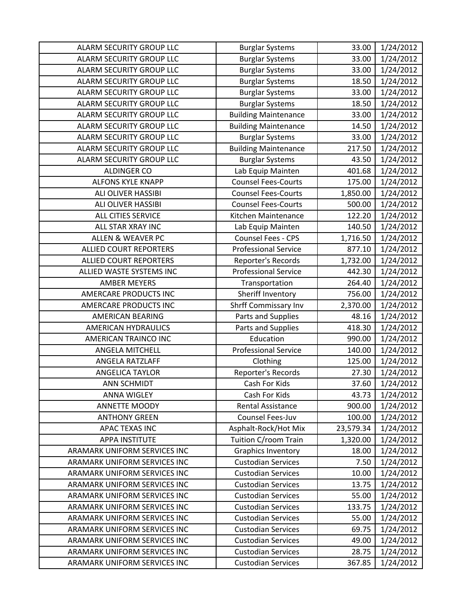| ALARM SECURITY GROUP LLC        | <b>Burglar Systems</b>      | 33.00     | 1/24/2012 |
|---------------------------------|-----------------------------|-----------|-----------|
| ALARM SECURITY GROUP LLC        | <b>Burglar Systems</b>      | 33.00     | 1/24/2012 |
| ALARM SECURITY GROUP LLC        | <b>Burglar Systems</b>      | 33.00     | 1/24/2012 |
| ALARM SECURITY GROUP LLC        | <b>Burglar Systems</b>      | 18.50     | 1/24/2012 |
| ALARM SECURITY GROUP LLC        | <b>Burglar Systems</b>      | 33.00     | 1/24/2012 |
| ALARM SECURITY GROUP LLC        | <b>Burglar Systems</b>      | 18.50     | 1/24/2012 |
| <b>ALARM SECURITY GROUP LLC</b> | <b>Building Maintenance</b> | 33.00     | 1/24/2012 |
| ALARM SECURITY GROUP LLC        | <b>Building Maintenance</b> | 14.50     | 1/24/2012 |
| ALARM SECURITY GROUP LLC        | <b>Burglar Systems</b>      | 33.00     | 1/24/2012 |
| ALARM SECURITY GROUP LLC        | <b>Building Maintenance</b> | 217.50    | 1/24/2012 |
| ALARM SECURITY GROUP LLC        | <b>Burglar Systems</b>      | 43.50     | 1/24/2012 |
| <b>ALDINGER CO</b>              | Lab Equip Mainten           | 401.68    | 1/24/2012 |
| <b>ALFONS KYLE KNAPP</b>        | <b>Counsel Fees-Courts</b>  | 175.00    | 1/24/2012 |
| ALI OLIVER HASSIBI              | <b>Counsel Fees-Courts</b>  | 1,850.00  | 1/24/2012 |
| ALI OLIVER HASSIBI              | <b>Counsel Fees-Courts</b>  | 500.00    | 1/24/2012 |
| ALL CITIES SERVICE              | Kitchen Maintenance         | 122.20    | 1/24/2012 |
| ALL STAR XRAY INC               | Lab Equip Mainten           | 140.50    | 1/24/2012 |
| <b>ALLEN &amp; WEAVER PC</b>    | <b>Counsel Fees - CPS</b>   | 1,716.50  | 1/24/2012 |
| <b>ALLIED COURT REPORTERS</b>   | <b>Professional Service</b> | 877.10    | 1/24/2012 |
| <b>ALLIED COURT REPORTERS</b>   | Reporter's Records          | 1,732.00  | 1/24/2012 |
| ALLIED WASTE SYSTEMS INC        | <b>Professional Service</b> | 442.30    | 1/24/2012 |
| <b>AMBER MEYERS</b>             | Transportation              | 264.40    | 1/24/2012 |
| AMERCARE PRODUCTS INC           | Sheriff Inventory           | 756.00    | 1/24/2012 |
| AMERCARE PRODUCTS INC           | <b>Shrff Commissary Inv</b> | 2,370.00  | 1/24/2012 |
| <b>AMERICAN BEARING</b>         | Parts and Supplies          | 48.16     | 1/24/2012 |
| <b>AMERICAN HYDRAULICS</b>      | Parts and Supplies          | 418.30    | 1/24/2012 |
| AMERICAN TRAINCO INC            | Education                   | 990.00    | 1/24/2012 |
| ANGELA MITCHELL                 | <b>Professional Service</b> | 140.00    | 1/24/2012 |
| ANGELA RATZLAFF                 | Clothing                    | 125.00    | 1/24/2012 |
| <b>ANGELICA TAYLOR</b>          | Reporter's Records          | 27.30     | 1/24/2012 |
| <b>ANN SCHMIDT</b>              | Cash For Kids               | 37.60     | 1/24/2012 |
| <b>ANNA WIGLEY</b>              | Cash For Kids               | 43.73     | 1/24/2012 |
| ANNETTE MOODY                   | <b>Rental Assistance</b>    | 900.00    | 1/24/2012 |
| <b>ANTHONY GREEN</b>            | Counsel Fees-Juv            | 100.00    | 1/24/2012 |
| <b>APAC TEXAS INC</b>           | Asphalt-Rock/Hot Mix        | 23,579.34 | 1/24/2012 |
| <b>APPA INSTITUTE</b>           | Tuition C/room Train        | 1,320.00  | 1/24/2012 |
| ARAMARK UNIFORM SERVICES INC    | <b>Graphics Inventory</b>   | 18.00     | 1/24/2012 |
| ARAMARK UNIFORM SERVICES INC    | <b>Custodian Services</b>   | 7.50      | 1/24/2012 |
| ARAMARK UNIFORM SERVICES INC    | <b>Custodian Services</b>   | 10.00     | 1/24/2012 |
| ARAMARK UNIFORM SERVICES INC    | <b>Custodian Services</b>   | 13.75     | 1/24/2012 |
| ARAMARK UNIFORM SERVICES INC    | <b>Custodian Services</b>   | 55.00     | 1/24/2012 |
| ARAMARK UNIFORM SERVICES INC    | <b>Custodian Services</b>   | 133.75    | 1/24/2012 |
| ARAMARK UNIFORM SERVICES INC    | <b>Custodian Services</b>   | 55.00     | 1/24/2012 |
| ARAMARK UNIFORM SERVICES INC    | <b>Custodian Services</b>   | 69.75     | 1/24/2012 |
| ARAMARK UNIFORM SERVICES INC    | <b>Custodian Services</b>   | 49.00     | 1/24/2012 |
| ARAMARK UNIFORM SERVICES INC    | <b>Custodian Services</b>   | 28.75     | 1/24/2012 |
| ARAMARK UNIFORM SERVICES INC    | <b>Custodian Services</b>   | 367.85    | 1/24/2012 |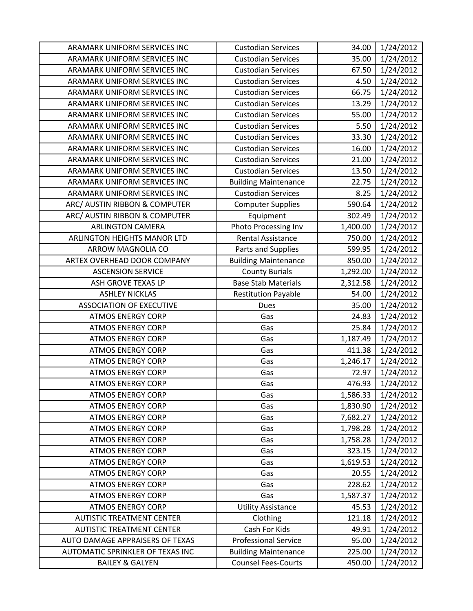| ARAMARK UNIFORM SERVICES INC     | <b>Custodian Services</b>   | 34.00    | 1/24/2012 |
|----------------------------------|-----------------------------|----------|-----------|
| ARAMARK UNIFORM SERVICES INC     | <b>Custodian Services</b>   | 35.00    | 1/24/2012 |
| ARAMARK UNIFORM SERVICES INC     | <b>Custodian Services</b>   | 67.50    | 1/24/2012 |
| ARAMARK UNIFORM SERVICES INC     | <b>Custodian Services</b>   | 4.50     | 1/24/2012 |
| ARAMARK UNIFORM SERVICES INC     | <b>Custodian Services</b>   | 66.75    | 1/24/2012 |
| ARAMARK UNIFORM SERVICES INC     | <b>Custodian Services</b>   | 13.29    | 1/24/2012 |
| ARAMARK UNIFORM SERVICES INC     | <b>Custodian Services</b>   | 55.00    | 1/24/2012 |
| ARAMARK UNIFORM SERVICES INC     | <b>Custodian Services</b>   | 5.50     | 1/24/2012 |
| ARAMARK UNIFORM SERVICES INC     | <b>Custodian Services</b>   | 33.30    | 1/24/2012 |
| ARAMARK UNIFORM SERVICES INC     | <b>Custodian Services</b>   | 16.00    | 1/24/2012 |
| ARAMARK UNIFORM SERVICES INC     | <b>Custodian Services</b>   | 21.00    | 1/24/2012 |
| ARAMARK UNIFORM SERVICES INC     | <b>Custodian Services</b>   | 13.50    | 1/24/2012 |
| ARAMARK UNIFORM SERVICES INC     | <b>Building Maintenance</b> | 22.75    | 1/24/2012 |
| ARAMARK UNIFORM SERVICES INC     | <b>Custodian Services</b>   | 8.25     | 1/24/2012 |
| ARC/ AUSTIN RIBBON & COMPUTER    | <b>Computer Supplies</b>    | 590.64   | 1/24/2012 |
| ARC/ AUSTIN RIBBON & COMPUTER    | Equipment                   | 302.49   | 1/24/2012 |
| <b>ARLINGTON CAMERA</b>          | Photo Processing Inv        | 1,400.00 | 1/24/2012 |
| ARLINGTON HEIGHTS MANOR LTD      | <b>Rental Assistance</b>    | 750.00   | 1/24/2012 |
| ARROW MAGNOLIA CO                | Parts and Supplies          | 599.95   | 1/24/2012 |
| ARTEX OVERHEAD DOOR COMPANY      | <b>Building Maintenance</b> | 850.00   | 1/24/2012 |
| <b>ASCENSION SERVICE</b>         | <b>County Burials</b>       | 1,292.00 | 1/24/2012 |
| ASH GROVE TEXAS LP               | <b>Base Stab Materials</b>  | 2,312.58 | 1/24/2012 |
| <b>ASHLEY NICKLAS</b>            | <b>Restitution Payable</b>  | 54.00    | 1/24/2012 |
| <b>ASSOCIATION OF EXECUTIVE</b>  | <b>Dues</b>                 | 35.00    | 1/24/2012 |
| <b>ATMOS ENERGY CORP</b>         | Gas                         | 24.83    | 1/24/2012 |
| <b>ATMOS ENERGY CORP</b>         | Gas                         | 25.84    | 1/24/2012 |
| <b>ATMOS ENERGY CORP</b>         | Gas                         | 1,187.49 | 1/24/2012 |
| <b>ATMOS ENERGY CORP</b>         | Gas                         | 411.38   | 1/24/2012 |
| <b>ATMOS ENERGY CORP</b>         | Gas                         | 1,246.17 | 1/24/2012 |
| <b>ATMOS ENERGY CORP</b>         | Gas                         | 72.97    | 1/24/2012 |
| <b>ATMOS ENERGY CORP</b>         | Gas                         | 476.93   | 1/24/2012 |
| <b>ATMOS ENERGY CORP</b>         | Gas                         | 1,586.33 | 1/24/2012 |
| <b>ATMOS ENERGY CORP</b>         | Gas                         | 1,830.90 | 1/24/2012 |
| <b>ATMOS ENERGY CORP</b>         | Gas                         | 7,682.27 | 1/24/2012 |
| <b>ATMOS ENERGY CORP</b>         | Gas                         | 1,798.28 | 1/24/2012 |
| <b>ATMOS ENERGY CORP</b>         | Gas                         | 1,758.28 | 1/24/2012 |
| <b>ATMOS ENERGY CORP</b>         | Gas                         | 323.15   | 1/24/2012 |
| <b>ATMOS ENERGY CORP</b>         | Gas                         | 1,619.53 | 1/24/2012 |
| <b>ATMOS ENERGY CORP</b>         | Gas                         | 20.55    | 1/24/2012 |
| <b>ATMOS ENERGY CORP</b>         | Gas                         | 228.62   | 1/24/2012 |
| <b>ATMOS ENERGY CORP</b>         | Gas                         | 1,587.37 | 1/24/2012 |
| <b>ATMOS ENERGY CORP</b>         | <b>Utility Assistance</b>   | 45.53    | 1/24/2012 |
| <b>AUTISTIC TREATMENT CENTER</b> | Clothing                    | 121.18   | 1/24/2012 |
| <b>AUTISTIC TREATMENT CENTER</b> | Cash For Kids               | 49.91    | 1/24/2012 |
| AUTO DAMAGE APPRAISERS OF TEXAS  | <b>Professional Service</b> | 95.00    | 1/24/2012 |
| AUTOMATIC SPRINKLER OF TEXAS INC | <b>Building Maintenance</b> | 225.00   | 1/24/2012 |
| <b>BAILEY &amp; GALYEN</b>       | <b>Counsel Fees-Courts</b>  | 450.00   | 1/24/2012 |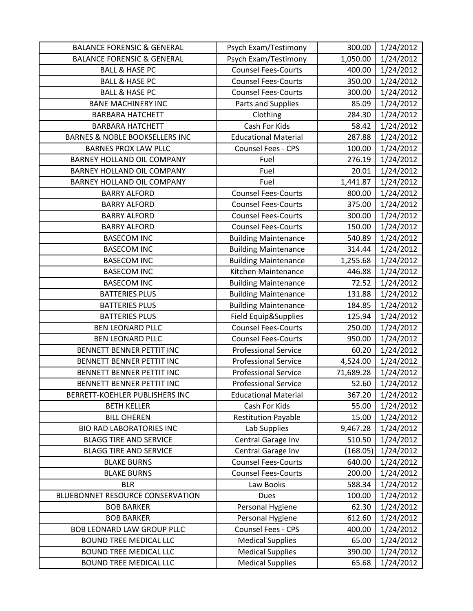| <b>BALANCE FORENSIC &amp; GENERAL</b>     | Psych Exam/Testimony        | 300.00    | 1/24/2012 |
|-------------------------------------------|-----------------------------|-----------|-----------|
| <b>BALANCE FORENSIC &amp; GENERAL</b>     | Psych Exam/Testimony        | 1,050.00  | 1/24/2012 |
| <b>BALL &amp; HASE PC</b>                 | <b>Counsel Fees-Courts</b>  | 400.00    | 1/24/2012 |
| <b>BALL &amp; HASE PC</b>                 | <b>Counsel Fees-Courts</b>  | 350.00    | 1/24/2012 |
| <b>BALL &amp; HASE PC</b>                 | <b>Counsel Fees-Courts</b>  | 300.00    | 1/24/2012 |
| <b>BANE MACHINERY INC</b>                 | Parts and Supplies          | 85.09     | 1/24/2012 |
| <b>BARBARA HATCHETT</b>                   | Clothing                    | 284.30    | 1/24/2012 |
| <b>BARBARA HATCHETT</b>                   | Cash For Kids               | 58.42     | 1/24/2012 |
| <b>BARNES &amp; NOBLE BOOKSELLERS INC</b> | <b>Educational Material</b> | 287.88    | 1/24/2012 |
| <b>BARNES PROX LAW PLLC</b>               | Counsel Fees - CPS          | 100.00    | 1/24/2012 |
| <b>BARNEY HOLLAND OIL COMPANY</b>         | Fuel                        | 276.19    | 1/24/2012 |
| BARNEY HOLLAND OIL COMPANY                | Fuel                        | 20.01     | 1/24/2012 |
| BARNEY HOLLAND OIL COMPANY                | Fuel                        | 1,441.87  | 1/24/2012 |
| <b>BARRY ALFORD</b>                       | <b>Counsel Fees-Courts</b>  | 800.00    | 1/24/2012 |
| <b>BARRY ALFORD</b>                       | <b>Counsel Fees-Courts</b>  | 375.00    | 1/24/2012 |
| <b>BARRY ALFORD</b>                       | <b>Counsel Fees-Courts</b>  | 300.00    | 1/24/2012 |
| <b>BARRY ALFORD</b>                       | <b>Counsel Fees-Courts</b>  | 150.00    | 1/24/2012 |
| <b>BASECOM INC</b>                        | <b>Building Maintenance</b> | 540.89    | 1/24/2012 |
| <b>BASECOM INC</b>                        | <b>Building Maintenance</b> | 314.44    | 1/24/2012 |
| <b>BASECOM INC</b>                        | <b>Building Maintenance</b> | 1,255.68  | 1/24/2012 |
| <b>BASECOM INC</b>                        | Kitchen Maintenance         | 446.88    | 1/24/2012 |
| <b>BASECOM INC</b>                        | <b>Building Maintenance</b> | 72.52     | 1/24/2012 |
| <b>BATTERIES PLUS</b>                     | <b>Building Maintenance</b> | 131.88    | 1/24/2012 |
| <b>BATTERIES PLUS</b>                     | <b>Building Maintenance</b> | 184.85    | 1/24/2012 |
| <b>BATTERIES PLUS</b>                     | Field Equip&Supplies        | 125.94    | 1/24/2012 |
| <b>BEN LEONARD PLLC</b>                   | <b>Counsel Fees-Courts</b>  | 250.00    | 1/24/2012 |
| <b>BEN LEONARD PLLC</b>                   | <b>Counsel Fees-Courts</b>  | 950.00    | 1/24/2012 |
| BENNETT BENNER PETTIT INC                 | <b>Professional Service</b> | 60.20     | 1/24/2012 |
| BENNETT BENNER PETTIT INC                 | <b>Professional Service</b> | 4,524.00  | 1/24/2012 |
| BENNETT BENNER PETTIT INC                 | <b>Professional Service</b> | 71,689.28 | 1/24/2012 |
| <b>BENNETT BENNER PETTIT INC</b>          | <b>Professional Service</b> | 52.60     | 1/24/2012 |
| BERRETT-KOEHLER PUBLISHERS INC            | <b>Educational Material</b> | 367.20    | 1/24/2012 |
| <b>BETH KELLER</b>                        | Cash For Kids               | 55.00     | 1/24/2012 |
| <b>BILL OHEREN</b>                        | <b>Restitution Payable</b>  | 15.00     | 1/24/2012 |
| <b>BIO RAD LABORATORIES INC</b>           | Lab Supplies                | 9,467.28  | 1/24/2012 |
| <b>BLAGG TIRE AND SERVICE</b>             | Central Garage Inv          | 510.50    | 1/24/2012 |
| <b>BLAGG TIRE AND SERVICE</b>             | Central Garage Inv          | (168.05)  | 1/24/2012 |
| <b>BLAKE BURNS</b>                        | <b>Counsel Fees-Courts</b>  | 640.00    | 1/24/2012 |
| <b>BLAKE BURNS</b>                        | <b>Counsel Fees-Courts</b>  | 200.00    | 1/24/2012 |
| <b>BLR</b>                                | Law Books                   | 588.34    | 1/24/2012 |
| BLUEBONNET RESOURCE CONSERVATION          | <b>Dues</b>                 | 100.00    | 1/24/2012 |
| <b>BOB BARKER</b>                         | Personal Hygiene            | 62.30     | 1/24/2012 |
| <b>BOB BARKER</b>                         | Personal Hygiene            | 612.60    | 1/24/2012 |
| <b>BOB LEONARD LAW GROUP PLLC</b>         | Counsel Fees - CPS          | 400.00    | 1/24/2012 |
| <b>BOUND TREE MEDICAL LLC</b>             | <b>Medical Supplies</b>     | 65.00     | 1/24/2012 |
| <b>BOUND TREE MEDICAL LLC</b>             | <b>Medical Supplies</b>     | 390.00    | 1/24/2012 |
| <b>BOUND TREE MEDICAL LLC</b>             | <b>Medical Supplies</b>     | 65.68     | 1/24/2012 |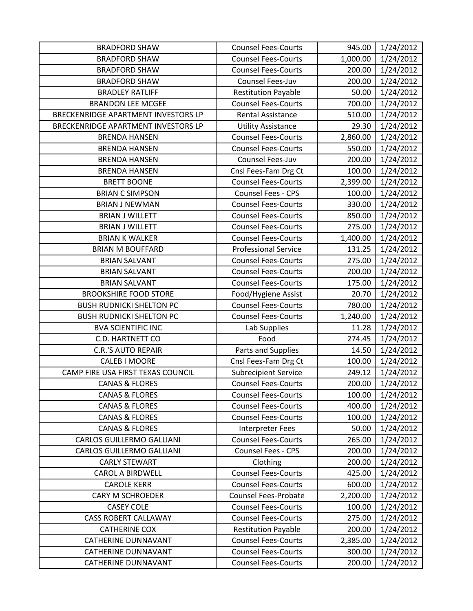| <b>BRADFORD SHAW</b>                | <b>Counsel Fees-Courts</b>  | 945.00   | 1/24/2012 |
|-------------------------------------|-----------------------------|----------|-----------|
| <b>BRADFORD SHAW</b>                | <b>Counsel Fees-Courts</b>  | 1,000.00 | 1/24/2012 |
| <b>BRADFORD SHAW</b>                | <b>Counsel Fees-Courts</b>  | 200.00   | 1/24/2012 |
| <b>BRADFORD SHAW</b>                | Counsel Fees-Juv            | 200.00   | 1/24/2012 |
| <b>BRADLEY RATLIFF</b>              | <b>Restitution Payable</b>  | 50.00    | 1/24/2012 |
| <b>BRANDON LEE MCGEE</b>            | <b>Counsel Fees-Courts</b>  | 700.00   | 1/24/2012 |
| BRECKENRIDGE APARTMENT INVESTORS LP | <b>Rental Assistance</b>    | 510.00   | 1/24/2012 |
| BRECKENRIDGE APARTMENT INVESTORS LP | <b>Utility Assistance</b>   | 29.30    | 1/24/2012 |
| <b>BRENDA HANSEN</b>                | <b>Counsel Fees-Courts</b>  | 2,860.00 | 1/24/2012 |
| <b>BRENDA HANSEN</b>                | <b>Counsel Fees-Courts</b>  | 550.00   | 1/24/2012 |
| <b>BRENDA HANSEN</b>                | Counsel Fees-Juv            | 200.00   | 1/24/2012 |
| <b>BRENDA HANSEN</b>                | Cnsl Fees-Fam Drg Ct        | 100.00   | 1/24/2012 |
| <b>BRETT BOONE</b>                  | <b>Counsel Fees-Courts</b>  | 2,399.00 | 1/24/2012 |
| <b>BRIAN C SIMPSON</b>              | <b>Counsel Fees - CPS</b>   | 100.00   | 1/24/2012 |
| <b>BRIAN J NEWMAN</b>               | <b>Counsel Fees-Courts</b>  | 330.00   | 1/24/2012 |
| <b>BRIAN J WILLETT</b>              | <b>Counsel Fees-Courts</b>  | 850.00   | 1/24/2012 |
| <b>BRIAN J WILLETT</b>              | <b>Counsel Fees-Courts</b>  | 275.00   | 1/24/2012 |
| <b>BRIAN K WALKER</b>               | <b>Counsel Fees-Courts</b>  | 1,400.00 | 1/24/2012 |
| <b>BRIAN M BOUFFARD</b>             | <b>Professional Service</b> | 131.25   | 1/24/2012 |
| <b>BRIAN SALVANT</b>                | <b>Counsel Fees-Courts</b>  | 275.00   | 1/24/2012 |
| <b>BRIAN SALVANT</b>                | <b>Counsel Fees-Courts</b>  | 200.00   | 1/24/2012 |
| <b>BRIAN SALVANT</b>                | <b>Counsel Fees-Courts</b>  | 175.00   | 1/24/2012 |
| <b>BROOKSHIRE FOOD STORE</b>        | Food/Hygiene Assist         | 20.70    | 1/24/2012 |
| <b>BUSH RUDNICKI SHELTON PC</b>     | <b>Counsel Fees-Courts</b>  | 780.00   | 1/24/2012 |
| <b>BUSH RUDNICKI SHELTON PC</b>     | <b>Counsel Fees-Courts</b>  | 1,240.00 | 1/24/2012 |
| <b>BVA SCIENTIFIC INC</b>           | Lab Supplies                | 11.28    | 1/24/2012 |
| C.D. HARTNETT CO                    | Food                        | 274.45   | 1/24/2012 |
| <b>C.R.'S AUTO REPAIR</b>           | Parts and Supplies          | 14.50    | 1/24/2012 |
| <b>CALEB I MOORE</b>                | Cnsl Fees-Fam Drg Ct        | 100.00   | 1/24/2012 |
| CAMP FIRE USA FIRST TEXAS COUNCIL   | <b>Subrecipient Service</b> | 249.12   | 1/24/2012 |
| <b>CANAS &amp; FLORES</b>           | <b>Counsel Fees-Courts</b>  | 200.00   | 1/24/2012 |
| <b>CANAS &amp; FLORES</b>           | <b>Counsel Fees-Courts</b>  | 100.00   | 1/24/2012 |
| <b>CANAS &amp; FLORES</b>           | <b>Counsel Fees-Courts</b>  | 400.00   | 1/24/2012 |
| <b>CANAS &amp; FLORES</b>           | <b>Counsel Fees-Courts</b>  | 100.00   | 1/24/2012 |
| <b>CANAS &amp; FLORES</b>           | Interpreter Fees            | 50.00    | 1/24/2012 |
| <b>CARLOS GUILLERMO GALLIANI</b>    | <b>Counsel Fees-Courts</b>  | 265.00   | 1/24/2012 |
| <b>CARLOS GUILLERMO GALLIANI</b>    | <b>Counsel Fees - CPS</b>   | 200.00   | 1/24/2012 |
| <b>CARLY STEWART</b>                | Clothing                    | 200.00   | 1/24/2012 |
| <b>CAROL A BIRDWELL</b>             | <b>Counsel Fees-Courts</b>  | 425.00   | 1/24/2012 |
| <b>CAROLE KERR</b>                  | <b>Counsel Fees-Courts</b>  | 600.00   | 1/24/2012 |
| <b>CARY M SCHROEDER</b>             | <b>Counsel Fees-Probate</b> | 2,200.00 | 1/24/2012 |
| <b>CASEY COLE</b>                   | <b>Counsel Fees-Courts</b>  | 100.00   | 1/24/2012 |
| <b>CASS ROBERT CALLAWAY</b>         | <b>Counsel Fees-Courts</b>  | 275.00   | 1/24/2012 |
| <b>CATHERINE COX</b>                | <b>Restitution Payable</b>  | 200.00   | 1/24/2012 |
| <b>CATHERINE DUNNAVANT</b>          | <b>Counsel Fees-Courts</b>  | 2,385.00 | 1/24/2012 |
| <b>CATHERINE DUNNAVANT</b>          | <b>Counsel Fees-Courts</b>  | 300.00   | 1/24/2012 |
| CATHERINE DUNNAVANT                 | <b>Counsel Fees-Courts</b>  | 200.00   | 1/24/2012 |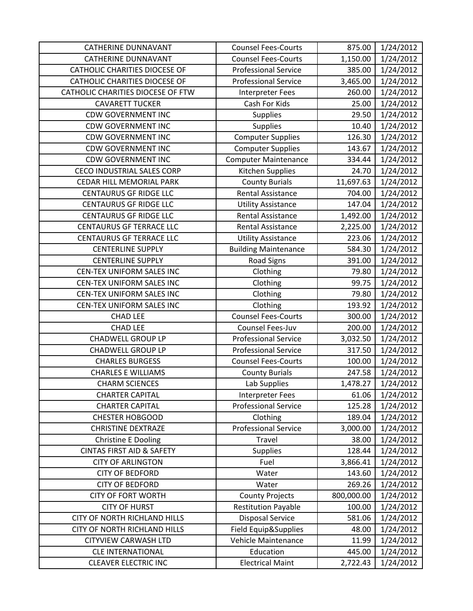| <b>CATHERINE DUNNAVANT</b>           | <b>Counsel Fees-Courts</b>  | 875.00     | 1/24/2012 |
|--------------------------------------|-----------------------------|------------|-----------|
| <b>CATHERINE DUNNAVANT</b>           | <b>Counsel Fees-Courts</b>  | 1,150.00   | 1/24/2012 |
| <b>CATHOLIC CHARITIES DIOCESE OF</b> | <b>Professional Service</b> | 385.00     | 1/24/2012 |
| <b>CATHOLIC CHARITIES DIOCESE OF</b> | <b>Professional Service</b> | 3,465.00   | 1/24/2012 |
| CATHOLIC CHARITIES DIOCESE OF FTW    | <b>Interpreter Fees</b>     | 260.00     | 1/24/2012 |
| <b>CAVARETT TUCKER</b>               | Cash For Kids               | 25.00      | 1/24/2012 |
| <b>CDW GOVERNMENT INC</b>            | Supplies                    | 29.50      | 1/24/2012 |
| <b>CDW GOVERNMENT INC</b>            | Supplies                    | 10.40      | 1/24/2012 |
| <b>CDW GOVERNMENT INC</b>            | <b>Computer Supplies</b>    | 126.30     | 1/24/2012 |
| <b>CDW GOVERNMENT INC</b>            | <b>Computer Supplies</b>    | 143.67     | 1/24/2012 |
| <b>CDW GOVERNMENT INC</b>            | <b>Computer Maintenance</b> | 334.44     | 1/24/2012 |
| <b>CECO INDUSTRIAL SALES CORP</b>    | Kitchen Supplies            | 24.70      | 1/24/2012 |
| CEDAR HILL MEMORIAL PARK             | <b>County Burials</b>       | 11,697.63  | 1/24/2012 |
| <b>CENTAURUS GF RIDGE LLC</b>        | <b>Rental Assistance</b>    | 704.00     | 1/24/2012 |
| <b>CENTAURUS GF RIDGE LLC</b>        | <b>Utility Assistance</b>   | 147.04     | 1/24/2012 |
| <b>CENTAURUS GF RIDGE LLC</b>        | <b>Rental Assistance</b>    | 1,492.00   | 1/24/2012 |
| <b>CENTAURUS GF TERRACE LLC</b>      | <b>Rental Assistance</b>    | 2,225.00   | 1/24/2012 |
| <b>CENTAURUS GF TERRACE LLC</b>      | <b>Utility Assistance</b>   | 223.06     | 1/24/2012 |
| <b>CENTERLINE SUPPLY</b>             | <b>Building Maintenance</b> | 584.30     | 1/24/2012 |
| <b>CENTERLINE SUPPLY</b>             | <b>Road Signs</b>           | 391.00     | 1/24/2012 |
| CEN-TEX UNIFORM SALES INC            | Clothing                    | 79.80      | 1/24/2012 |
| CEN-TEX UNIFORM SALES INC            | Clothing                    | 99.75      | 1/24/2012 |
| CEN-TEX UNIFORM SALES INC            | Clothing                    | 79.80      | 1/24/2012 |
| CEN-TEX UNIFORM SALES INC            | Clothing                    | 193.92     | 1/24/2012 |
| <b>CHAD LEE</b>                      | <b>Counsel Fees-Courts</b>  | 300.00     | 1/24/2012 |
| <b>CHAD LEE</b>                      | Counsel Fees-Juv            | 200.00     | 1/24/2012 |
| <b>CHADWELL GROUP LP</b>             | <b>Professional Service</b> | 3,032.50   | 1/24/2012 |
| <b>CHADWELL GROUP LP</b>             | <b>Professional Service</b> | 317.50     | 1/24/2012 |
| <b>CHARLES BURGESS</b>               | <b>Counsel Fees-Courts</b>  | 100.00     | 1/24/2012 |
| <b>CHARLES E WILLIAMS</b>            | <b>County Burials</b>       | 247.58     | 1/24/2012 |
| <b>CHARM SCIENCES</b>                | Lab Supplies                | 1,478.27   | 1/24/2012 |
| <b>CHARTER CAPITAL</b>               | <b>Interpreter Fees</b>     | 61.06      | 1/24/2012 |
| <b>CHARTER CAPITAL</b>               | <b>Professional Service</b> | 125.28     | 1/24/2012 |
| <b>CHESTER HOBGOOD</b>               | Clothing                    | 189.04     | 1/24/2012 |
| <b>CHRISTINE DEXTRAZE</b>            | <b>Professional Service</b> | 3,000.00   | 1/24/2012 |
| <b>Christine E Dooling</b>           | Travel                      | 38.00      | 1/24/2012 |
| <b>CINTAS FIRST AID &amp; SAFETY</b> | <b>Supplies</b>             | 128.44     | 1/24/2012 |
| <b>CITY OF ARLINGTON</b>             | Fuel                        | 3,866.41   | 1/24/2012 |
| <b>CITY OF BEDFORD</b>               | Water                       | 143.60     | 1/24/2012 |
| <b>CITY OF BEDFORD</b>               | Water                       | 269.26     | 1/24/2012 |
| <b>CITY OF FORT WORTH</b>            | <b>County Projects</b>      | 800,000.00 | 1/24/2012 |
| <b>CITY OF HURST</b>                 | <b>Restitution Payable</b>  | 100.00     | 1/24/2012 |
| <b>CITY OF NORTH RICHLAND HILLS</b>  | <b>Disposal Service</b>     | 581.06     | 1/24/2012 |
| CITY OF NORTH RICHLAND HILLS         | Field Equip&Supplies        | 48.00      | 1/24/2012 |
| <b>CITYVIEW CARWASH LTD</b>          | Vehicle Maintenance         | 11.99      | 1/24/2012 |
| <b>CLE INTERNATIONAL</b>             | Education                   | 445.00     | 1/24/2012 |
| <b>CLEAVER ELECTRIC INC</b>          | <b>Electrical Maint</b>     | 2,722.43   | 1/24/2012 |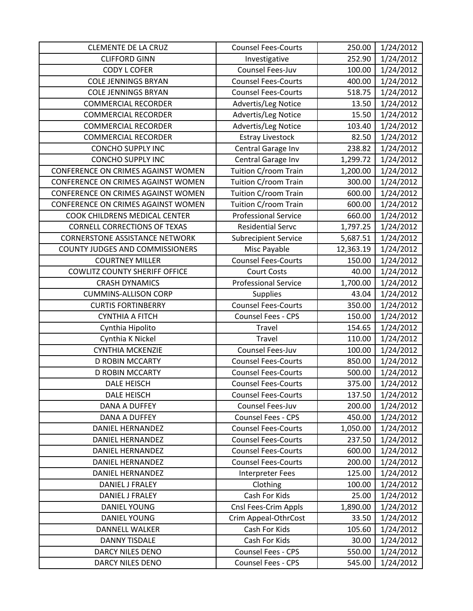| <b>CLEMENTE DE LA CRUZ</b>             | <b>Counsel Fees-Courts</b>  | 250.00    | 1/24/2012 |
|----------------------------------------|-----------------------------|-----------|-----------|
| <b>CLIFFORD GINN</b>                   | Investigative               | 252.90    | 1/24/2012 |
| <b>CODY L COFER</b>                    | Counsel Fees-Juv            | 100.00    | 1/24/2012 |
| <b>COLE JENNINGS BRYAN</b>             | <b>Counsel Fees-Courts</b>  | 400.00    | 1/24/2012 |
| <b>COLE JENNINGS BRYAN</b>             | <b>Counsel Fees-Courts</b>  | 518.75    | 1/24/2012 |
| <b>COMMERCIAL RECORDER</b>             | Advertis/Leg Notice         | 13.50     | 1/24/2012 |
| <b>COMMERCIAL RECORDER</b>             | Advertis/Leg Notice         | 15.50     | 1/24/2012 |
| <b>COMMERCIAL RECORDER</b>             | Advertis/Leg Notice         | 103.40    | 1/24/2012 |
| <b>COMMERCIAL RECORDER</b>             | <b>Estray Livestock</b>     | 82.50     | 1/24/2012 |
| <b>CONCHO SUPPLY INC</b>               | Central Garage Inv          | 238.82    | 1/24/2012 |
| <b>CONCHO SUPPLY INC</b>               | Central Garage Inv          | 1,299.72  | 1/24/2012 |
| CONFERENCE ON CRIMES AGAINST WOMEN     | Tuition C/room Train        | 1,200.00  | 1/24/2012 |
| CONFERENCE ON CRIMES AGAINST WOMEN     | Tuition C/room Train        | 300.00    | 1/24/2012 |
| CONFERENCE ON CRIMES AGAINST WOMEN     | Tuition C/room Train        | 600.00    | 1/24/2012 |
| CONFERENCE ON CRIMES AGAINST WOMEN     | Tuition C/room Train        | 600.00    | 1/24/2012 |
| COOK CHILDRENS MEDICAL CENTER          | <b>Professional Service</b> | 660.00    | 1/24/2012 |
| <b>CORNELL CORRECTIONS OF TEXAS</b>    | <b>Residential Servc</b>    | 1,797.25  | 1/24/2012 |
| <b>CORNERSTONE ASSISTANCE NETWORK</b>  | <b>Subrecipient Service</b> | 5,687.51  | 1/24/2012 |
| <b>COUNTY JUDGES AND COMMISSIONERS</b> | Misc Payable                | 12,363.19 | 1/24/2012 |
| <b>COURTNEY MILLER</b>                 | <b>Counsel Fees-Courts</b>  | 150.00    | 1/24/2012 |
| <b>COWLITZ COUNTY SHERIFF OFFICE</b>   | <b>Court Costs</b>          | 40.00     | 1/24/2012 |
| <b>CRASH DYNAMICS</b>                  | <b>Professional Service</b> | 1,700.00  | 1/24/2012 |
| <b>CUMMINS-ALLISON CORP</b>            | <b>Supplies</b>             | 43.04     | 1/24/2012 |
| <b>CURTIS FORTINBERRY</b>              | <b>Counsel Fees-Courts</b>  | 350.00    | 1/24/2012 |
| <b>CYNTHIA A FITCH</b>                 | Counsel Fees - CPS          | 150.00    | 1/24/2012 |
| Cynthia Hipolito                       | Travel                      | 154.65    | 1/24/2012 |
| Cynthia K Nickel                       | Travel                      | 110.00    | 1/24/2012 |
| <b>CYNTHIA MCKENZIE</b>                | Counsel Fees-Juv            | 100.00    | 1/24/2012 |
| <b>D ROBIN MCCARTY</b>                 | <b>Counsel Fees-Courts</b>  | 850.00    | 1/24/2012 |
| <b>D ROBIN MCCARTY</b>                 | <b>Counsel Fees-Courts</b>  | 500.00    | 1/24/2012 |
| <b>DALE HEISCH</b>                     | <b>Counsel Fees-Courts</b>  | 375.00    | 1/24/2012 |
| <b>DALE HEISCH</b>                     | <b>Counsel Fees-Courts</b>  | 137.50    | 1/24/2012 |
| <b>DANA A DUFFEY</b>                   | Counsel Fees-Juv            | 200.00    | 1/24/2012 |
| <b>DANA A DUFFEY</b>                   | <b>Counsel Fees - CPS</b>   | 450.00    | 1/24/2012 |
| <b>DANIEL HERNANDEZ</b>                | <b>Counsel Fees-Courts</b>  | 1,050.00  | 1/24/2012 |
| <b>DANIEL HERNANDEZ</b>                | <b>Counsel Fees-Courts</b>  | 237.50    | 1/24/2012 |
| DANIEL HERNANDEZ                       | <b>Counsel Fees-Courts</b>  | 600.00    | 1/24/2012 |
| DANIEL HERNANDEZ                       | <b>Counsel Fees-Courts</b>  | 200.00    | 1/24/2012 |
| <b>DANIEL HERNANDEZ</b>                | <b>Interpreter Fees</b>     | 125.00    | 1/24/2012 |
| DANIEL J FRALEY                        | Clothing                    | 100.00    | 1/24/2012 |
| DANIEL J FRALEY                        | Cash For Kids               | 25.00     | 1/24/2012 |
| <b>DANIEL YOUNG</b>                    | Cnsl Fees-Crim Appls        | 1,890.00  | 1/24/2012 |
| <b>DANIEL YOUNG</b>                    | Crim Appeal-OthrCost        | 33.50     | 1/24/2012 |
| <b>DANNELL WALKER</b>                  | Cash For Kids               | 105.60    | 1/24/2012 |
| <b>DANNY TISDALE</b>                   | Cash For Kids               | 30.00     | 1/24/2012 |
| <b>DARCY NILES DENO</b>                | Counsel Fees - CPS          | 550.00    | 1/24/2012 |
| DARCY NILES DENO                       | Counsel Fees - CPS          | 545.00    | 1/24/2012 |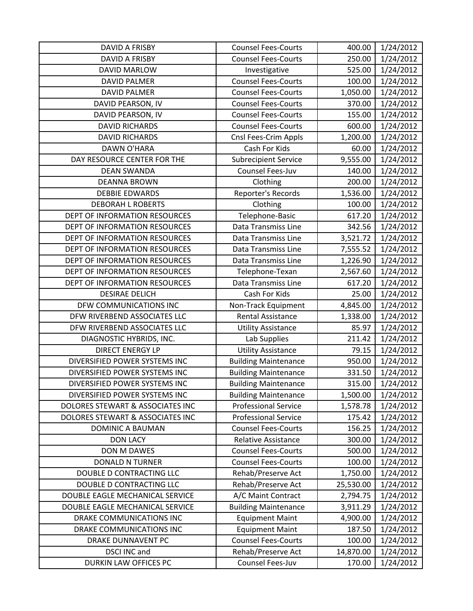| DAVID A FRISBY                   | <b>Counsel Fees-Courts</b>  | 400.00    | 1/24/2012 |
|----------------------------------|-----------------------------|-----------|-----------|
| <b>DAVID A FRISBY</b>            | <b>Counsel Fees-Courts</b>  | 250.00    | 1/24/2012 |
| <b>DAVID MARLOW</b>              | Investigative               | 525.00    | 1/24/2012 |
| <b>DAVID PALMER</b>              | <b>Counsel Fees-Courts</b>  | 100.00    | 1/24/2012 |
| <b>DAVID PALMER</b>              | <b>Counsel Fees-Courts</b>  | 1,050.00  | 1/24/2012 |
| DAVID PEARSON, IV                | <b>Counsel Fees-Courts</b>  | 370.00    | 1/24/2012 |
| DAVID PEARSON, IV                | <b>Counsel Fees-Courts</b>  | 155.00    | 1/24/2012 |
| <b>DAVID RICHARDS</b>            | <b>Counsel Fees-Courts</b>  | 600.00    | 1/24/2012 |
| <b>DAVID RICHARDS</b>            | Cnsl Fees-Crim Appls        | 1,200.00  | 1/24/2012 |
| DAWN O'HARA                      | Cash For Kids               | 60.00     | 1/24/2012 |
| DAY RESOURCE CENTER FOR THE      | <b>Subrecipient Service</b> | 9,555.00  | 1/24/2012 |
| <b>DEAN SWANDA</b>               | Counsel Fees-Juv            | 140.00    | 1/24/2012 |
| <b>DEANNA BROWN</b>              | Clothing                    | 200.00    | 1/24/2012 |
| <b>DEBBIE EDWARDS</b>            | Reporter's Records          | 1,536.00  | 1/24/2012 |
| <b>DEBORAH L ROBERTS</b>         | Clothing                    | 100.00    | 1/24/2012 |
| DEPT OF INFORMATION RESOURCES    | Telephone-Basic             | 617.20    | 1/24/2012 |
| DEPT OF INFORMATION RESOURCES    | Data Transmiss Line         | 342.56    | 1/24/2012 |
| DEPT OF INFORMATION RESOURCES    | Data Transmiss Line         | 3,521.72  | 1/24/2012 |
| DEPT OF INFORMATION RESOURCES    | Data Transmiss Line         | 7,555.52  | 1/24/2012 |
| DEPT OF INFORMATION RESOURCES    | Data Transmiss Line         | 1,226.90  | 1/24/2012 |
| DEPT OF INFORMATION RESOURCES    | Telephone-Texan             | 2,567.60  | 1/24/2012 |
| DEPT OF INFORMATION RESOURCES    | Data Transmiss Line         | 617.20    | 1/24/2012 |
| <b>DESIRAE DELICH</b>            | Cash For Kids               | 25.00     | 1/24/2012 |
| DFW COMMUNICATIONS INC           | Non-Track Equipment         | 4,845.00  | 1/24/2012 |
| DFW RIVERBEND ASSOCIATES LLC     | <b>Rental Assistance</b>    | 1,338.00  | 1/24/2012 |
| DFW RIVERBEND ASSOCIATES LLC     | <b>Utility Assistance</b>   | 85.97     | 1/24/2012 |
| DIAGNOSTIC HYBRIDS, INC.         | Lab Supplies                | 211.42    | 1/24/2012 |
| <b>DIRECT ENERGY LP</b>          | <b>Utility Assistance</b>   | 79.15     | 1/24/2012 |
| DIVERSIFIED POWER SYSTEMS INC    | <b>Building Maintenance</b> | 950.00    | 1/24/2012 |
| DIVERSIFIED POWER SYSTEMS INC    | <b>Building Maintenance</b> | 331.50    | 1/24/2012 |
| DIVERSIFIED POWER SYSTEMS INC    | <b>Building Maintenance</b> | 315.00    | 1/24/2012 |
| DIVERSIFIED POWER SYSTEMS INC    | <b>Building Maintenance</b> | 1,500.00  | 1/24/2012 |
| DOLORES STEWART & ASSOCIATES INC | <b>Professional Service</b> | 1,578.78  | 1/24/2012 |
| DOLORES STEWART & ASSOCIATES INC | <b>Professional Service</b> | 175.42    | 1/24/2012 |
| DOMINIC A BAUMAN                 | <b>Counsel Fees-Courts</b>  | 156.25    | 1/24/2012 |
| <b>DON LACY</b>                  | <b>Relative Assistance</b>  | 300.00    | 1/24/2012 |
| <b>DON M DAWES</b>               | <b>Counsel Fees-Courts</b>  | 500.00    | 1/24/2012 |
| <b>DONALD N TURNER</b>           | <b>Counsel Fees-Courts</b>  | 100.00    | 1/24/2012 |
| DOUBLE D CONTRACTING LLC         | Rehab/Preserve Act          | 1,750.00  | 1/24/2012 |
| DOUBLE D CONTRACTING LLC         | Rehab/Preserve Act          | 25,530.00 | 1/24/2012 |
| DOUBLE EAGLE MECHANICAL SERVICE  | A/C Maint Contract          | 2,794.75  | 1/24/2012 |
| DOUBLE EAGLE MECHANICAL SERVICE  | <b>Building Maintenance</b> | 3,911.29  | 1/24/2012 |
| DRAKE COMMUNICATIONS INC         | <b>Equipment Maint</b>      | 4,900.00  | 1/24/2012 |
| DRAKE COMMUNICATIONS INC         | <b>Equipment Maint</b>      | 187.50    | 1/24/2012 |
| DRAKE DUNNAVENT PC               | <b>Counsel Fees-Courts</b>  | 100.00    | 1/24/2012 |
| <b>DSCI INC and</b>              | Rehab/Preserve Act          | 14,870.00 | 1/24/2012 |
| DURKIN LAW OFFICES PC            | Counsel Fees-Juv            | 170.00    | 1/24/2012 |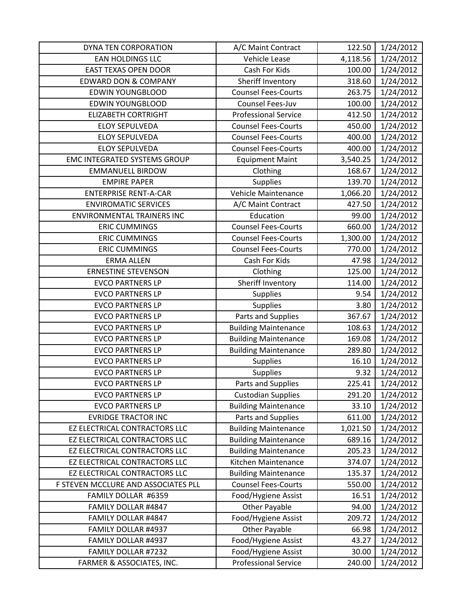| DYNA TEN CORPORATION                | A/C Maint Contract          | 122.50   | 1/24/2012 |
|-------------------------------------|-----------------------------|----------|-----------|
| EAN HOLDINGS LLC                    | Vehicle Lease               | 4,118.56 | 1/24/2012 |
| <b>EAST TEXAS OPEN DOOR</b>         | Cash For Kids               | 100.00   | 1/24/2012 |
| <b>EDWARD DON &amp; COMPANY</b>     | Sheriff Inventory           | 318.60   | 1/24/2012 |
| <b>EDWIN YOUNGBLOOD</b>             | <b>Counsel Fees-Courts</b>  | 263.75   | 1/24/2012 |
| <b>EDWIN YOUNGBLOOD</b>             | Counsel Fees-Juv            | 100.00   | 1/24/2012 |
| <b>ELIZABETH CORTRIGHT</b>          | <b>Professional Service</b> | 412.50   | 1/24/2012 |
| <b>ELOY SEPULVEDA</b>               | <b>Counsel Fees-Courts</b>  | 450.00   | 1/24/2012 |
| <b>ELOY SEPULVEDA</b>               | <b>Counsel Fees-Courts</b>  | 400.00   | 1/24/2012 |
| <b>ELOY SEPULVEDA</b>               | <b>Counsel Fees-Courts</b>  | 400.00   | 1/24/2012 |
| <b>EMC INTEGRATED SYSTEMS GROUP</b> | <b>Equipment Maint</b>      | 3,540.25 | 1/24/2012 |
| <b>EMMANUELL BIRDOW</b>             | Clothing                    | 168.67   | 1/24/2012 |
| <b>EMPIRE PAPER</b>                 | <b>Supplies</b>             | 139.70   | 1/24/2012 |
| <b>ENTERPRISE RENT-A-CAR</b>        | Vehicle Maintenance         | 1,066.20 | 1/24/2012 |
| <b>ENVIROMATIC SERVICES</b>         | A/C Maint Contract          | 427.50   | 1/24/2012 |
| <b>ENVIRONMENTAL TRAINERS INC</b>   | Education                   | 99.00    | 1/24/2012 |
| <b>ERIC CUMMINGS</b>                | <b>Counsel Fees-Courts</b>  | 660.00   | 1/24/2012 |
| <b>ERIC CUMMINGS</b>                | <b>Counsel Fees-Courts</b>  | 1,300.00 | 1/24/2012 |
| <b>ERIC CUMMINGS</b>                | <b>Counsel Fees-Courts</b>  | 770.00   | 1/24/2012 |
| <b>ERMA ALLEN</b>                   | Cash For Kids               | 47.98    | 1/24/2012 |
| <b>ERNESTINE STEVENSON</b>          | Clothing                    | 125.00   | 1/24/2012 |
| <b>EVCO PARTNERS LP</b>             | Sheriff Inventory           | 114.00   | 1/24/2012 |
| <b>EVCO PARTNERS LP</b>             | <b>Supplies</b>             | 9.54     | 1/24/2012 |
| <b>EVCO PARTNERS LP</b>             | Supplies                    | 3.80     | 1/24/2012 |
| <b>EVCO PARTNERS LP</b>             | Parts and Supplies          | 367.67   | 1/24/2012 |
| <b>EVCO PARTNERS LP</b>             | <b>Building Maintenance</b> | 108.63   | 1/24/2012 |
| <b>EVCO PARTNERS LP</b>             | <b>Building Maintenance</b> | 169.08   | 1/24/2012 |
| <b>EVCO PARTNERS LP</b>             | <b>Building Maintenance</b> | 289.80   | 1/24/2012 |
| <b>EVCO PARTNERS LP</b>             | Supplies                    | 16.10    | 1/24/2012 |
| <b>EVCO PARTNERS LP</b>             | Supplies                    | 9.32     | 1/24/2012 |
| <b>EVCO PARTNERS LP</b>             | Parts and Supplies          | 225.41   | 1/24/2012 |
| <b>EVCO PARTNERS LP</b>             | <b>Custodian Supplies</b>   | 291.20   | 1/24/2012 |
| <b>EVCO PARTNERS LP</b>             | <b>Building Maintenance</b> | 33.10    | 1/24/2012 |
| <b>EVRIDGE TRACTOR INC</b>          | Parts and Supplies          | 611.00   | 1/24/2012 |
| EZ ELECTRICAL CONTRACTORS LLC       | <b>Building Maintenance</b> | 1,021.50 | 1/24/2012 |
| EZ ELECTRICAL CONTRACTORS LLC       | <b>Building Maintenance</b> | 689.16   | 1/24/2012 |
| EZ ELECTRICAL CONTRACTORS LLC       | <b>Building Maintenance</b> | 205.23   | 1/24/2012 |
| EZ ELECTRICAL CONTRACTORS LLC       | Kitchen Maintenance         | 374.07   | 1/24/2012 |
| EZ ELECTRICAL CONTRACTORS LLC       | <b>Building Maintenance</b> | 135.37   | 1/24/2012 |
| F STEVEN MCCLURE AND ASSOCIATES PLL | <b>Counsel Fees-Courts</b>  | 550.00   | 1/24/2012 |
| FAMILY DOLLAR #6359                 | Food/Hygiene Assist         | 16.51    | 1/24/2012 |
| FAMILY DOLLAR #4847                 | <b>Other Payable</b>        | 94.00    | 1/24/2012 |
| FAMILY DOLLAR #4847                 | Food/Hygiene Assist         | 209.72   | 1/24/2012 |
| FAMILY DOLLAR #4937                 | <b>Other Payable</b>        | 66.98    | 1/24/2012 |
| FAMILY DOLLAR #4937                 | Food/Hygiene Assist         | 43.27    | 1/24/2012 |
| FAMILY DOLLAR #7232                 | Food/Hygiene Assist         | 30.00    | 1/24/2012 |
| FARMER & ASSOCIATES, INC.           | <b>Professional Service</b> | 240.00   | 1/24/2012 |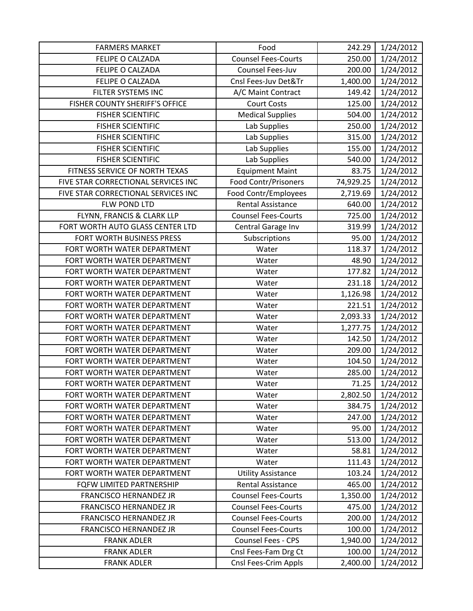| <b>FARMERS MARKET</b>               | Food                        | 242.29    | 1/24/2012 |
|-------------------------------------|-----------------------------|-----------|-----------|
| FELIPE O CALZADA                    | <b>Counsel Fees-Courts</b>  | 250.00    | 1/24/2012 |
| <b>FELIPE O CALZADA</b>             | Counsel Fees-Juv            | 200.00    | 1/24/2012 |
| FELIPE O CALZADA                    | Cnsl Fees-Juv Det&Tr        | 1,400.00  | 1/24/2012 |
| FILTER SYSTEMS INC                  | A/C Maint Contract          | 149.42    | 1/24/2012 |
| FISHER COUNTY SHERIFF'S OFFICE      | <b>Court Costs</b>          | 125.00    | 1/24/2012 |
| <b>FISHER SCIENTIFIC</b>            | <b>Medical Supplies</b>     | 504.00    | 1/24/2012 |
| <b>FISHER SCIENTIFIC</b>            | Lab Supplies                | 250.00    | 1/24/2012 |
| <b>FISHER SCIENTIFIC</b>            | Lab Supplies                | 315.00    | 1/24/2012 |
| <b>FISHER SCIENTIFIC</b>            | Lab Supplies                | 155.00    | 1/24/2012 |
| <b>FISHER SCIENTIFIC</b>            | Lab Supplies                | 540.00    | 1/24/2012 |
| FITNESS SERVICE OF NORTH TEXAS      | <b>Equipment Maint</b>      | 83.75     | 1/24/2012 |
| FIVE STAR CORRECTIONAL SERVICES INC | <b>Food Contr/Prisoners</b> | 74,929.25 | 1/24/2012 |
| FIVE STAR CORRECTIONAL SERVICES INC | Food Contr/Employees        | 2,719.69  | 1/24/2012 |
| FLW POND LTD                        | <b>Rental Assistance</b>    | 640.00    | 1/24/2012 |
| FLYNN, FRANCIS & CLARK LLP          | <b>Counsel Fees-Courts</b>  | 725.00    | 1/24/2012 |
| FORT WORTH AUTO GLASS CENTER LTD    | Central Garage Inv          | 319.99    | 1/24/2012 |
| FORT WORTH BUSINESS PRESS           | Subscriptions               | 95.00     | 1/24/2012 |
| FORT WORTH WATER DEPARTMENT         | Water                       | 118.37    | 1/24/2012 |
| FORT WORTH WATER DEPARTMENT         | Water                       | 48.90     | 1/24/2012 |
| FORT WORTH WATER DEPARTMENT         | Water                       | 177.82    | 1/24/2012 |
| FORT WORTH WATER DEPARTMENT         | Water                       | 231.18    | 1/24/2012 |
| FORT WORTH WATER DEPARTMENT         | Water                       | 1,126.98  | 1/24/2012 |
| FORT WORTH WATER DEPARTMENT         | Water                       | 221.51    | 1/24/2012 |
| FORT WORTH WATER DEPARTMENT         | Water                       | 2,093.33  | 1/24/2012 |
| FORT WORTH WATER DEPARTMENT         | Water                       | 1,277.75  | 1/24/2012 |
| FORT WORTH WATER DEPARTMENT         | Water                       | 142.50    | 1/24/2012 |
| FORT WORTH WATER DEPARTMENT         | Water                       | 209.00    | 1/24/2012 |
| FORT WORTH WATER DEPARTMENT         | Water                       | 104.50    | 1/24/2012 |
| FORT WORTH WATER DEPARTMENT         | Water                       | 285.00    | 1/24/2012 |
| FORT WORTH WATER DEPARTMENT         | Water                       | 71.25     | 1/24/2012 |
| FORT WORTH WATER DEPARTMENT         | Water                       | 2,802.50  | 1/24/2012 |
| FORT WORTH WATER DEPARTMENT         | Water                       | 384.75    | 1/24/2012 |
| FORT WORTH WATER DEPARTMENT         | Water                       | 247.00    | 1/24/2012 |
| FORT WORTH WATER DEPARTMENT         | Water                       | 95.00     | 1/24/2012 |
| FORT WORTH WATER DEPARTMENT         | Water                       | 513.00    | 1/24/2012 |
| FORT WORTH WATER DEPARTMENT         | Water                       | 58.81     | 1/24/2012 |
| FORT WORTH WATER DEPARTMENT         | Water                       | 111.43    | 1/24/2012 |
| FORT WORTH WATER DEPARTMENT         | <b>Utility Assistance</b>   | 103.24    | 1/24/2012 |
| FQFW LIMITED PARTNERSHIP            | Rental Assistance           | 465.00    | 1/24/2012 |
| <b>FRANCISCO HERNANDEZ JR</b>       | <b>Counsel Fees-Courts</b>  | 1,350.00  | 1/24/2012 |
| <b>FRANCISCO HERNANDEZ JR</b>       | <b>Counsel Fees-Courts</b>  | 475.00    | 1/24/2012 |
| FRANCISCO HERNANDEZ JR              | <b>Counsel Fees-Courts</b>  | 200.00    | 1/24/2012 |
| FRANCISCO HERNANDEZ JR              | <b>Counsel Fees-Courts</b>  | 100.00    | 1/24/2012 |
| <b>FRANK ADLER</b>                  | <b>Counsel Fees - CPS</b>   | 1,940.00  | 1/24/2012 |
| <b>FRANK ADLER</b>                  | Cnsl Fees-Fam Drg Ct        | 100.00    | 1/24/2012 |
| <b>FRANK ADLER</b>                  | Cnsl Fees-Crim Appls        | 2,400.00  | 1/24/2012 |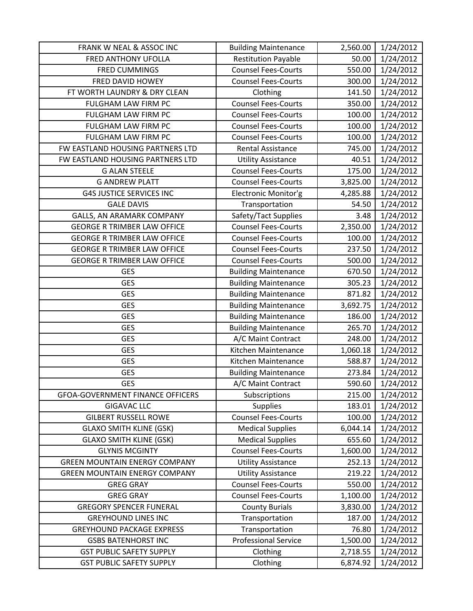| FRANK W NEAL & ASSOC INC                | <b>Building Maintenance</b> | 2,560.00 | 1/24/2012 |
|-----------------------------------------|-----------------------------|----------|-----------|
| FRED ANTHONY UFOLLA                     | <b>Restitution Payable</b>  | 50.00    | 1/24/2012 |
| <b>FRED CUMMINGS</b>                    | <b>Counsel Fees-Courts</b>  | 550.00   | 1/24/2012 |
| FRED DAVID HOWEY                        | <b>Counsel Fees-Courts</b>  | 300.00   | 1/24/2012 |
| FT WORTH LAUNDRY & DRY CLEAN            | Clothing                    | 141.50   | 1/24/2012 |
| FULGHAM LAW FIRM PC                     | <b>Counsel Fees-Courts</b>  | 350.00   | 1/24/2012 |
| FULGHAM LAW FIRM PC                     | <b>Counsel Fees-Courts</b>  | 100.00   | 1/24/2012 |
| FULGHAM LAW FIRM PC                     | <b>Counsel Fees-Courts</b>  | 100.00   | 1/24/2012 |
| FULGHAM LAW FIRM PC                     | <b>Counsel Fees-Courts</b>  | 100.00   | 1/24/2012 |
| FW EASTLAND HOUSING PARTNERS LTD        | Rental Assistance           | 745.00   | 1/24/2012 |
| FW EASTLAND HOUSING PARTNERS LTD        | <b>Utility Assistance</b>   | 40.51    | 1/24/2012 |
| <b>G ALAN STEELE</b>                    | <b>Counsel Fees-Courts</b>  | 175.00   | 1/24/2012 |
| <b>G ANDREW PLATT</b>                   | <b>Counsel Fees-Courts</b>  | 3,825.00 | 1/24/2012 |
| <b>G4S JUSTICE SERVICES INC</b>         | Electronic Monitor'g        | 4,285.88 | 1/24/2012 |
| <b>GALE DAVIS</b>                       | Transportation              | 54.50    | 1/24/2012 |
| GALLS, AN ARAMARK COMPANY               | Safety/Tact Supplies        | 3.48     | 1/24/2012 |
| <b>GEORGE R TRIMBER LAW OFFICE</b>      | <b>Counsel Fees-Courts</b>  | 2,350.00 | 1/24/2012 |
| <b>GEORGE R TRIMBER LAW OFFICE</b>      | <b>Counsel Fees-Courts</b>  | 100.00   | 1/24/2012 |
| <b>GEORGE R TRIMBER LAW OFFICE</b>      | <b>Counsel Fees-Courts</b>  | 237.50   | 1/24/2012 |
| <b>GEORGE R TRIMBER LAW OFFICE</b>      | <b>Counsel Fees-Courts</b>  | 500.00   | 1/24/2012 |
| <b>GES</b>                              | <b>Building Maintenance</b> | 670.50   | 1/24/2012 |
| <b>GES</b>                              | <b>Building Maintenance</b> | 305.23   | 1/24/2012 |
| <b>GES</b>                              | <b>Building Maintenance</b> | 871.82   | 1/24/2012 |
| <b>GES</b>                              | <b>Building Maintenance</b> | 3,692.75 | 1/24/2012 |
| <b>GES</b>                              | <b>Building Maintenance</b> | 186.00   | 1/24/2012 |
| <b>GES</b>                              | <b>Building Maintenance</b> | 265.70   | 1/24/2012 |
| <b>GES</b>                              | A/C Maint Contract          | 248.00   | 1/24/2012 |
| <b>GES</b>                              | Kitchen Maintenance         | 1,060.18 | 1/24/2012 |
| <b>GES</b>                              | Kitchen Maintenance         | 588.87   | 1/24/2012 |
| <b>GES</b>                              | <b>Building Maintenance</b> | 273.84   | 1/24/2012 |
| <b>GES</b>                              | A/C Maint Contract          | 590.60   | 1/24/2012 |
| <b>GFOA-GOVERNMENT FINANCE OFFICERS</b> | Subscriptions               | 215.00   | 1/24/2012 |
| <b>GIGAVAC LLC</b>                      | <b>Supplies</b>             | 183.01   | 1/24/2012 |
| <b>GILBERT RUSSELL ROWE</b>             | <b>Counsel Fees-Courts</b>  | 100.00   | 1/24/2012 |
| <b>GLAXO SMITH KLINE (GSK)</b>          | <b>Medical Supplies</b>     | 6,044.14 | 1/24/2012 |
| <b>GLAXO SMITH KLINE (GSK)</b>          | <b>Medical Supplies</b>     | 655.60   | 1/24/2012 |
| <b>GLYNIS MCGINTY</b>                   | <b>Counsel Fees-Courts</b>  | 1,600.00 | 1/24/2012 |
| <b>GREEN MOUNTAIN ENERGY COMPANY</b>    | <b>Utility Assistance</b>   | 252.13   | 1/24/2012 |
| <b>GREEN MOUNTAIN ENERGY COMPANY</b>    | <b>Utility Assistance</b>   | 219.22   | 1/24/2012 |
| <b>GREG GRAY</b>                        | <b>Counsel Fees-Courts</b>  | 550.00   | 1/24/2012 |
| <b>GREG GRAY</b>                        | <b>Counsel Fees-Courts</b>  | 1,100.00 | 1/24/2012 |
| <b>GREGORY SPENCER FUNERAL</b>          | <b>County Burials</b>       | 3,830.00 | 1/24/2012 |
| <b>GREYHOUND LINES INC</b>              | Transportation              | 187.00   | 1/24/2012 |
| <b>GREYHOUND PACKAGE EXPRESS</b>        | Transportation              | 76.80    | 1/24/2012 |
| <b>GSBS BATENHORST INC</b>              | <b>Professional Service</b> | 1,500.00 | 1/24/2012 |
| <b>GST PUBLIC SAFETY SUPPLY</b>         | Clothing                    | 2,718.55 | 1/24/2012 |
| <b>GST PUBLIC SAFETY SUPPLY</b>         | Clothing                    | 6,874.92 | 1/24/2012 |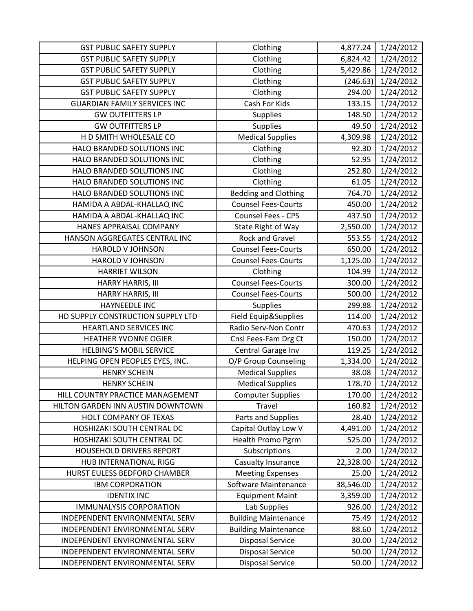| <b>GST PUBLIC SAFETY SUPPLY</b>     | Clothing                    | 4,877.24  | 1/24/2012 |
|-------------------------------------|-----------------------------|-----------|-----------|
| <b>GST PUBLIC SAFETY SUPPLY</b>     | Clothing                    | 6,824.42  | 1/24/2012 |
| <b>GST PUBLIC SAFETY SUPPLY</b>     | Clothing                    | 5,429.86  | 1/24/2012 |
| <b>GST PUBLIC SAFETY SUPPLY</b>     | Clothing                    | (246.63)  | 1/24/2012 |
| <b>GST PUBLIC SAFETY SUPPLY</b>     | Clothing                    | 294.00    | 1/24/2012 |
| <b>GUARDIAN FAMILY SERVICES INC</b> | Cash For Kids               | 133.15    | 1/24/2012 |
| <b>GW OUTFITTERS LP</b>             | Supplies                    | 148.50    | 1/24/2012 |
| <b>GW OUTFITTERS LP</b>             | Supplies                    | 49.50     | 1/24/2012 |
| H D SMITH WHOLESALE CO              | <b>Medical Supplies</b>     | 4,309.98  | 1/24/2012 |
| HALO BRANDED SOLUTIONS INC          | Clothing                    | 92.30     | 1/24/2012 |
| HALO BRANDED SOLUTIONS INC          | Clothing                    | 52.95     | 1/24/2012 |
| HALO BRANDED SOLUTIONS INC          | Clothing                    | 252.80    | 1/24/2012 |
| HALO BRANDED SOLUTIONS INC          | Clothing                    | 61.05     | 1/24/2012 |
| HALO BRANDED SOLUTIONS INC          | <b>Bedding and Clothing</b> | 764.70    | 1/24/2012 |
| HAMIDA A ABDAL-KHALLAQ INC          | <b>Counsel Fees-Courts</b>  | 450.00    | 1/24/2012 |
| HAMIDA A ABDAL-KHALLAQ INC          | Counsel Fees - CPS          | 437.50    | 1/24/2012 |
| HANES APPRAISAL COMPANY             | State Right of Way          | 2,550.00  | 1/24/2012 |
| HANSON AGGREGATES CENTRAL INC       | <b>Rock and Gravel</b>      | 553.55    | 1/24/2012 |
| <b>HAROLD V JOHNSON</b>             | <b>Counsel Fees-Courts</b>  | 650.00    | 1/24/2012 |
| <b>HAROLD V JOHNSON</b>             | <b>Counsel Fees-Courts</b>  | 1,125.00  | 1/24/2012 |
| <b>HARRIET WILSON</b>               | Clothing                    | 104.99    | 1/24/2012 |
| HARRY HARRIS, III                   | <b>Counsel Fees-Courts</b>  | 300.00    | 1/24/2012 |
| HARRY HARRIS, III                   | <b>Counsel Fees-Courts</b>  | 500.00    | 1/24/2012 |
| <b>HAYNEEDLE INC</b>                | <b>Supplies</b>             | 299.88    | 1/24/2012 |
| HD SUPPLY CONSTRUCTION SUPPLY LTD   | Field Equip&Supplies        | 114.00    | 1/24/2012 |
| <b>HEARTLAND SERVICES INC</b>       | Radio Serv-Non Contr        | 470.63    | 1/24/2012 |
| <b>HEATHER YVONNE OGIER</b>         | Cnsl Fees-Fam Drg Ct        | 150.00    | 1/24/2012 |
| <b>HELBING'S MOBIL SERVICE</b>      | Central Garage Inv          | 119.25    | 1/24/2012 |
| HELPING OPEN PEOPLES EYES, INC.     | O/P Group Counseling        | 1,334.00  | 1/24/2012 |
| <b>HENRY SCHEIN</b>                 | <b>Medical Supplies</b>     | 38.08     | 1/24/2012 |
| <b>HENRY SCHEIN</b>                 | <b>Medical Supplies</b>     | 178.70    | 1/24/2012 |
| HILL COUNTRY PRACTICE MANAGEMENT    | <b>Computer Supplies</b>    | 170.00    | 1/24/2012 |
| HILTON GARDEN INN AUSTIN DOWNTOWN   | Travel                      | 160.82    | 1/24/2012 |
| HOLT COMPANY OF TEXAS               | Parts and Supplies          | 28.40     | 1/24/2012 |
| HOSHIZAKI SOUTH CENTRAL DC          | Capital Outlay Low V        | 4,491.00  | 1/24/2012 |
| HOSHIZAKI SOUTH CENTRAL DC          | Health Promo Pgrm           | 525.00    | 1/24/2012 |
| HOUSEHOLD DRIVERS REPORT            | Subscriptions               | 2.00      | 1/24/2012 |
| HUB INTERNATIONAL RIGG              | Casualty Insurance          | 22,328.00 | 1/24/2012 |
| HURST EULESS BEDFORD CHAMBER        | <b>Meeting Expenses</b>     | 25.00     | 1/24/2012 |
| <b>IBM CORPORATION</b>              | Software Maintenance        | 38,546.00 | 1/24/2012 |
| <b>IDENTIX INC</b>                  | <b>Equipment Maint</b>      | 3,359.00  | 1/24/2012 |
| <b>IMMUNALYSIS CORPORATION</b>      | Lab Supplies                | 926.00    | 1/24/2012 |
| INDEPENDENT ENVIRONMENTAL SERV      | <b>Building Maintenance</b> | 75.49     | 1/24/2012 |
| INDEPENDENT ENVIRONMENTAL SERV      | <b>Building Maintenance</b> | 88.60     | 1/24/2012 |
| INDEPENDENT ENVIRONMENTAL SERV      | <b>Disposal Service</b>     | 30.00     | 1/24/2012 |
| INDEPENDENT ENVIRONMENTAL SERV      | <b>Disposal Service</b>     | 50.00     | 1/24/2012 |
| INDEPENDENT ENVIRONMENTAL SERV      | <b>Disposal Service</b>     | 50.00     | 1/24/2012 |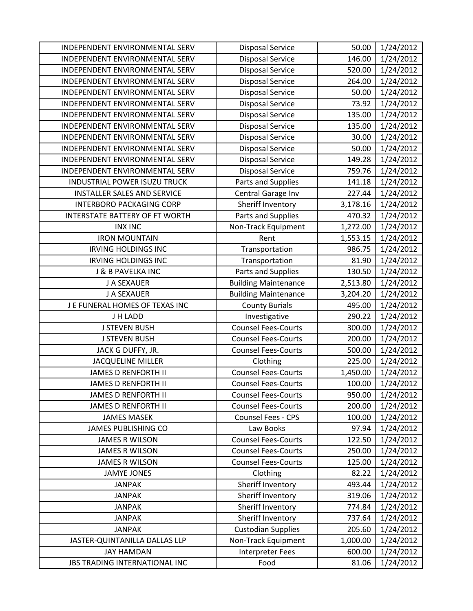| INDEPENDENT ENVIRONMENTAL SERV     | <b>Disposal Service</b>     | 50.00    | 1/24/2012 |
|------------------------------------|-----------------------------|----------|-----------|
| INDEPENDENT ENVIRONMENTAL SERV     | <b>Disposal Service</b>     | 146.00   | 1/24/2012 |
| INDEPENDENT ENVIRONMENTAL SERV     | <b>Disposal Service</b>     | 520.00   | 1/24/2012 |
| INDEPENDENT ENVIRONMENTAL SERV     | <b>Disposal Service</b>     | 264.00   | 1/24/2012 |
| INDEPENDENT ENVIRONMENTAL SERV     | <b>Disposal Service</b>     | 50.00    | 1/24/2012 |
| INDEPENDENT ENVIRONMENTAL SERV     | <b>Disposal Service</b>     | 73.92    | 1/24/2012 |
| INDEPENDENT ENVIRONMENTAL SERV     | <b>Disposal Service</b>     | 135.00   | 1/24/2012 |
| INDEPENDENT ENVIRONMENTAL SERV     | <b>Disposal Service</b>     | 135.00   | 1/24/2012 |
| INDEPENDENT ENVIRONMENTAL SERV     | <b>Disposal Service</b>     | 30.00    | 1/24/2012 |
| INDEPENDENT ENVIRONMENTAL SERV     | <b>Disposal Service</b>     | 50.00    | 1/24/2012 |
| INDEPENDENT ENVIRONMENTAL SERV     | <b>Disposal Service</b>     | 149.28   | 1/24/2012 |
| INDEPENDENT ENVIRONMENTAL SERV     | <b>Disposal Service</b>     | 759.76   | 1/24/2012 |
| INDUSTRIAL POWER ISUZU TRUCK       | Parts and Supplies          | 141.18   | 1/24/2012 |
| <b>INSTALLER SALES AND SERVICE</b> | Central Garage Inv          | 227.44   | 1/24/2012 |
| INTERBORO PACKAGING CORP           | Sheriff Inventory           | 3,178.16 | 1/24/2012 |
| INTERSTATE BATTERY OF FT WORTH     | Parts and Supplies          | 470.32   | 1/24/2012 |
| <b>INX INC</b>                     | Non-Track Equipment         | 1,272.00 | 1/24/2012 |
| <b>IRON MOUNTAIN</b>               | Rent                        | 1,553.15 | 1/24/2012 |
| <b>IRVING HOLDINGS INC</b>         | Transportation              | 986.75   | 1/24/2012 |
| <b>IRVING HOLDINGS INC</b>         | Transportation              | 81.90    | 1/24/2012 |
| J & B PAVELKA INC                  | Parts and Supplies          | 130.50   | 1/24/2012 |
| J A SEXAUER                        | <b>Building Maintenance</b> | 2,513.80 | 1/24/2012 |
| J A SEXAUER                        | <b>Building Maintenance</b> | 3,204.20 | 1/24/2012 |
| J E FUNERAL HOMES OF TEXAS INC     | <b>County Burials</b>       | 495.00   | 1/24/2012 |
| J H LADD                           | Investigative               | 290.22   | 1/24/2012 |
| <b>J STEVEN BUSH</b>               | <b>Counsel Fees-Courts</b>  | 300.00   | 1/24/2012 |
| <b>J STEVEN BUSH</b>               | <b>Counsel Fees-Courts</b>  | 200.00   | 1/24/2012 |
| JACK G DUFFY, JR.                  | <b>Counsel Fees-Courts</b>  | 500.00   | 1/24/2012 |
| <b>JACQUELINE MILLER</b>           | Clothing                    | 225.00   | 1/24/2012 |
| <b>JAMES D RENFORTH II</b>         | <b>Counsel Fees-Courts</b>  | 1,450.00 | 1/24/2012 |
| <b>JAMES D RENFORTH II</b>         | <b>Counsel Fees-Courts</b>  | 100.00   | 1/24/2012 |
| <b>JAMES D RENFORTH II</b>         | <b>Counsel Fees-Courts</b>  | 950.00   | 1/24/2012 |
| <b>JAMES D RENFORTH II</b>         | <b>Counsel Fees-Courts</b>  | 200.00   | 1/24/2012 |
| <b>JAMES MASEK</b>                 | <b>Counsel Fees - CPS</b>   | 100.00   | 1/24/2012 |
| <b>JAMES PUBLISHING CO</b>         | Law Books                   | 97.94    | 1/24/2012 |
| <b>JAMES R WILSON</b>              | <b>Counsel Fees-Courts</b>  | 122.50   | 1/24/2012 |
| <b>JAMES R WILSON</b>              | <b>Counsel Fees-Courts</b>  | 250.00   | 1/24/2012 |
| <b>JAMES R WILSON</b>              | <b>Counsel Fees-Courts</b>  | 125.00   | 1/24/2012 |
| <b>JAMYE JONES</b>                 | Clothing                    | 82.22    | 1/24/2012 |
| <b>JANPAK</b>                      | Sheriff Inventory           | 493.44   | 1/24/2012 |
| <b>JANPAK</b>                      | Sheriff Inventory           | 319.06   | 1/24/2012 |
| <b>JANPAK</b>                      | Sheriff Inventory           | 774.84   | 1/24/2012 |
| <b>JANPAK</b>                      | Sheriff Inventory           | 737.64   | 1/24/2012 |
| <b>JANPAK</b>                      | <b>Custodian Supplies</b>   | 205.60   | 1/24/2012 |
| JASTER-QUINTANILLA DALLAS LLP      | Non-Track Equipment         | 1,000.00 | 1/24/2012 |
| <b>JAY HAMDAN</b>                  | <b>Interpreter Fees</b>     | 600.00   | 1/24/2012 |
| JBS TRADING INTERNATIONAL INC      | Food                        | 81.06    | 1/24/2012 |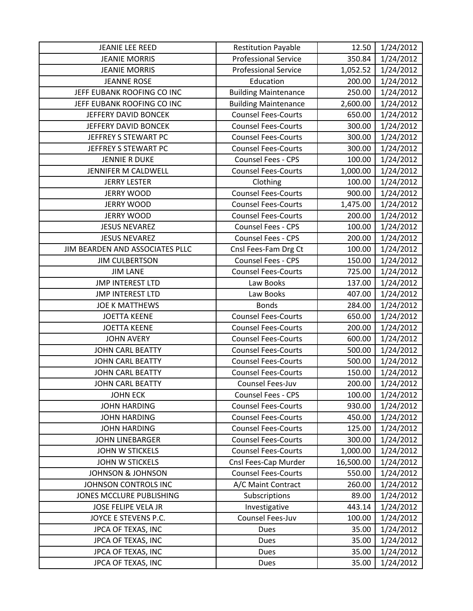| <b>JEANIE LEE REED</b>          | <b>Restitution Payable</b>  | 12.50     | 1/24/2012 |
|---------------------------------|-----------------------------|-----------|-----------|
| <b>JEANIE MORRIS</b>            | <b>Professional Service</b> | 350.84    | 1/24/2012 |
| <b>JEANIE MORRIS</b>            | <b>Professional Service</b> | 1,052.52  | 1/24/2012 |
| <b>JEANNE ROSE</b>              | Education                   | 200.00    | 1/24/2012 |
| JEFF EUBANK ROOFING CO INC      | <b>Building Maintenance</b> | 250.00    | 1/24/2012 |
| JEFF EUBANK ROOFING CO INC      | <b>Building Maintenance</b> | 2,600.00  | 1/24/2012 |
| JEFFERY DAVID BONCEK            | <b>Counsel Fees-Courts</b>  | 650.00    | 1/24/2012 |
| JEFFERY DAVID BONCEK            | <b>Counsel Fees-Courts</b>  | 300.00    | 1/24/2012 |
| JEFFREY S STEWART PC            | <b>Counsel Fees-Courts</b>  | 300.00    | 1/24/2012 |
| JEFFREY S STEWART PC            | <b>Counsel Fees-Courts</b>  | 300.00    | 1/24/2012 |
| <b>JENNIE R DUKE</b>            | Counsel Fees - CPS          | 100.00    | 1/24/2012 |
| JENNIFER M CALDWELL             | <b>Counsel Fees-Courts</b>  | 1,000.00  | 1/24/2012 |
| <b>JERRY LESTER</b>             | Clothing                    | 100.00    | 1/24/2012 |
| <b>JERRY WOOD</b>               | <b>Counsel Fees-Courts</b>  | 900.00    | 1/24/2012 |
| <b>JERRY WOOD</b>               | <b>Counsel Fees-Courts</b>  | 1,475.00  | 1/24/2012 |
| <b>JERRY WOOD</b>               | <b>Counsel Fees-Courts</b>  | 200.00    | 1/24/2012 |
| <b>JESUS NEVAREZ</b>            | Counsel Fees - CPS          | 100.00    | 1/24/2012 |
| <b>JESUS NEVAREZ</b>            | Counsel Fees - CPS          | 200.00    | 1/24/2012 |
| JIM BEARDEN AND ASSOCIATES PLLC | Cnsl Fees-Fam Drg Ct        | 100.00    | 1/24/2012 |
| <b>JIM CULBERTSON</b>           | Counsel Fees - CPS          | 150.00    | 1/24/2012 |
| <b>JIM LANE</b>                 | <b>Counsel Fees-Courts</b>  | 725.00    | 1/24/2012 |
| <b>JMP INTEREST LTD</b>         | Law Books                   | 137.00    | 1/24/2012 |
| <b>JMP INTEREST LTD</b>         | Law Books                   | 407.00    | 1/24/2012 |
| <b>JOE K MATTHEWS</b>           | <b>Bonds</b>                | 284.00    | 1/24/2012 |
| <b>JOETTA KEENE</b>             | <b>Counsel Fees-Courts</b>  | 650.00    | 1/24/2012 |
| <b>JOETTA KEENE</b>             | <b>Counsel Fees-Courts</b>  | 200.00    | 1/24/2012 |
| <b>JOHN AVERY</b>               | <b>Counsel Fees-Courts</b>  | 600.00    | 1/24/2012 |
| <b>JOHN CARL BEATTY</b>         | <b>Counsel Fees-Courts</b>  | 500.00    | 1/24/2012 |
| <b>JOHN CARL BEATTY</b>         | <b>Counsel Fees-Courts</b>  | 500.00    | 1/24/2012 |
| <b>JOHN CARL BEATTY</b>         | <b>Counsel Fees-Courts</b>  | 150.00    | 1/24/2012 |
| <b>JOHN CARL BEATTY</b>         | Counsel Fees-Juv            | 200.00    | 1/24/2012 |
| <b>JOHN ECK</b>                 | Counsel Fees - CPS          | 100.00    | 1/24/2012 |
| <b>JOHN HARDING</b>             | <b>Counsel Fees-Courts</b>  | 930.00    | 1/24/2012 |
| <b>JOHN HARDING</b>             | <b>Counsel Fees-Courts</b>  | 450.00    | 1/24/2012 |
| <b>JOHN HARDING</b>             | <b>Counsel Fees-Courts</b>  | 125.00    | 1/24/2012 |
| <b>JOHN LINEBARGER</b>          | <b>Counsel Fees-Courts</b>  | 300.00    | 1/24/2012 |
| <b>JOHN W STICKELS</b>          | <b>Counsel Fees-Courts</b>  | 1,000.00  | 1/24/2012 |
| <b>JOHN W STICKELS</b>          | Cnsl Fees-Cap Murder        | 16,500.00 | 1/24/2012 |
| <b>JOHNSON &amp; JOHNSON</b>    | <b>Counsel Fees-Courts</b>  | 550.00    | 1/24/2012 |
| JOHNSON CONTROLS INC            | A/C Maint Contract          | 260.00    | 1/24/2012 |
| JONES MCCLURE PUBLISHING        | Subscriptions               | 89.00     | 1/24/2012 |
| JOSE FELIPE VELA JR             | Investigative               | 443.14    | 1/24/2012 |
| JOYCE E STEVENS P.C.            | Counsel Fees-Juv            | 100.00    | 1/24/2012 |
| JPCA OF TEXAS, INC              | Dues                        | 35.00     | 1/24/2012 |
| JPCA OF TEXAS, INC              | Dues                        | 35.00     | 1/24/2012 |
| JPCA OF TEXAS, INC              | Dues                        | 35.00     | 1/24/2012 |
| JPCA OF TEXAS, INC              | Dues                        | 35.00     | 1/24/2012 |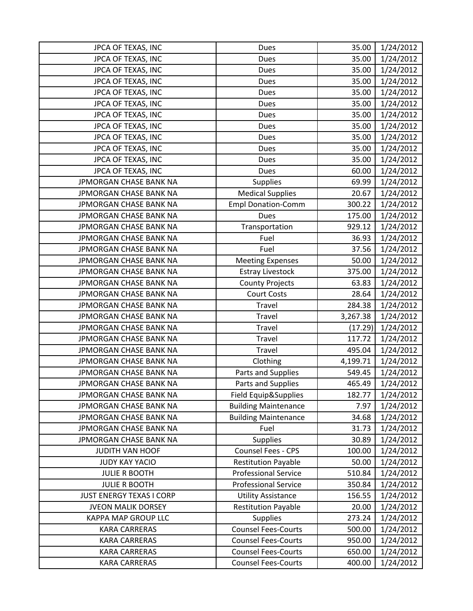| JPCA OF TEXAS, INC            | Dues                        | 35.00    | 1/24/2012 |
|-------------------------------|-----------------------------|----------|-----------|
| JPCA OF TEXAS, INC            | <b>Dues</b>                 | 35.00    | 1/24/2012 |
| JPCA OF TEXAS, INC            | <b>Dues</b>                 | 35.00    | 1/24/2012 |
| JPCA OF TEXAS, INC            | Dues                        | 35.00    | 1/24/2012 |
| JPCA OF TEXAS, INC            | Dues                        | 35.00    | 1/24/2012 |
| JPCA OF TEXAS, INC            | Dues                        | 35.00    | 1/24/2012 |
| JPCA OF TEXAS, INC            | Dues                        | 35.00    | 1/24/2012 |
| JPCA OF TEXAS, INC            | <b>Dues</b>                 | 35.00    | 1/24/2012 |
| JPCA OF TEXAS, INC            | Dues                        | 35.00    | 1/24/2012 |
| JPCA OF TEXAS, INC            | Dues                        | 35.00    | 1/24/2012 |
| JPCA OF TEXAS, INC            | Dues                        | 35.00    | 1/24/2012 |
| JPCA OF TEXAS, INC            | <b>Dues</b>                 | 60.00    | 1/24/2012 |
| JPMORGAN CHASE BANK NA        | <b>Supplies</b>             | 69.99    | 1/24/2012 |
| <b>JPMORGAN CHASE BANK NA</b> | <b>Medical Supplies</b>     | 20.67    | 1/24/2012 |
| JPMORGAN CHASE BANK NA        | <b>Empl Donation-Comm</b>   | 300.22   | 1/24/2012 |
| JPMORGAN CHASE BANK NA        | <b>Dues</b>                 | 175.00   | 1/24/2012 |
| JPMORGAN CHASE BANK NA        | Transportation              | 929.12   | 1/24/2012 |
| <b>JPMORGAN CHASE BANK NA</b> | Fuel                        | 36.93    | 1/24/2012 |
| JPMORGAN CHASE BANK NA        | Fuel                        | 37.56    | 1/24/2012 |
| JPMORGAN CHASE BANK NA        | <b>Meeting Expenses</b>     | 50.00    | 1/24/2012 |
| JPMORGAN CHASE BANK NA        | <b>Estray Livestock</b>     | 375.00   | 1/24/2012 |
| JPMORGAN CHASE BANK NA        | <b>County Projects</b>      | 63.83    | 1/24/2012 |
| JPMORGAN CHASE BANK NA        | <b>Court Costs</b>          | 28.64    | 1/24/2012 |
| JPMORGAN CHASE BANK NA        | Travel                      | 284.38   | 1/24/2012 |
| JPMORGAN CHASE BANK NA        | Travel                      | 3,267.38 | 1/24/2012 |
| JPMORGAN CHASE BANK NA        | Travel                      | (17.29)  | 1/24/2012 |
| JPMORGAN CHASE BANK NA        | Travel                      | 117.72   | 1/24/2012 |
| JPMORGAN CHASE BANK NA        | Travel                      | 495.04   | 1/24/2012 |
| JPMORGAN CHASE BANK NA        | Clothing                    | 4,199.71 | 1/24/2012 |
| JPMORGAN CHASE BANK NA        | Parts and Supplies          | 549.45   | 1/24/2012 |
| JPMORGAN CHASE BANK NA        | Parts and Supplies          | 465.49   | 1/24/2012 |
| JPMORGAN CHASE BANK NA        | Field Equip&Supplies        | 182.77   | 1/24/2012 |
| JPMORGAN CHASE BANK NA        | <b>Building Maintenance</b> | 7.97     | 1/24/2012 |
| JPMORGAN CHASE BANK NA        | <b>Building Maintenance</b> | 34.68    | 1/24/2012 |
| JPMORGAN CHASE BANK NA        | Fuel                        | 31.73    | 1/24/2012 |
| JPMORGAN CHASE BANK NA        | <b>Supplies</b>             | 30.89    | 1/24/2012 |
| JUDITH VAN HOOF               | Counsel Fees - CPS          | 100.00   | 1/24/2012 |
| <b>JUDY KAY YACIO</b>         | <b>Restitution Payable</b>  | 50.00    | 1/24/2012 |
| <b>JULIE R BOOTH</b>          | <b>Professional Service</b> | 510.84   | 1/24/2012 |
| <b>JULIE R BOOTH</b>          | <b>Professional Service</b> | 350.84   | 1/24/2012 |
| JUST ENERGY TEXAS I CORP      | <b>Utility Assistance</b>   | 156.55   | 1/24/2012 |
| <b>JVEON MALIK DORSEY</b>     | <b>Restitution Payable</b>  | 20.00    | 1/24/2012 |
| KAPPA MAP GROUP LLC           | <b>Supplies</b>             | 273.24   | 1/24/2012 |
| <b>KARA CARRERAS</b>          | <b>Counsel Fees-Courts</b>  | 500.00   | 1/24/2012 |
| <b>KARA CARRERAS</b>          | <b>Counsel Fees-Courts</b>  | 950.00   | 1/24/2012 |
| <b>KARA CARRERAS</b>          | <b>Counsel Fees-Courts</b>  | 650.00   | 1/24/2012 |
| <b>KARA CARRERAS</b>          | <b>Counsel Fees-Courts</b>  | 400.00   | 1/24/2012 |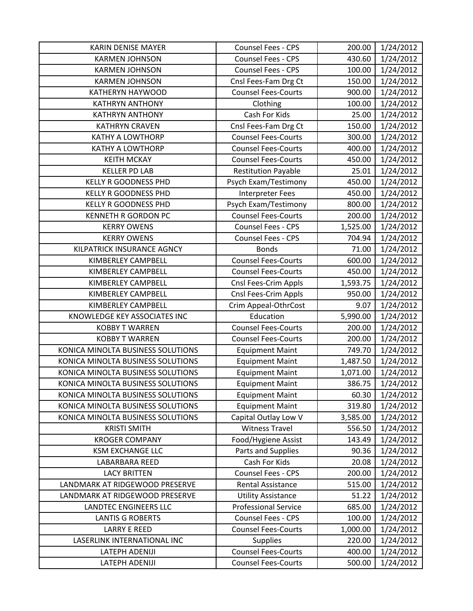| <b>KARIN DENISE MAYER</b>         | Counsel Fees - CPS          | 200.00   | 1/24/2012 |
|-----------------------------------|-----------------------------|----------|-----------|
| <b>KARMEN JOHNSON</b>             | Counsel Fees - CPS          | 430.60   | 1/24/2012 |
| <b>KARMEN JOHNSON</b>             | <b>Counsel Fees - CPS</b>   | 100.00   | 1/24/2012 |
| <b>KARMEN JOHNSON</b>             | Cnsl Fees-Fam Drg Ct        | 150.00   | 1/24/2012 |
| <b>KATHERYN HAYWOOD</b>           | <b>Counsel Fees-Courts</b>  | 900.00   | 1/24/2012 |
| <b>KATHRYN ANTHONY</b>            | Clothing                    | 100.00   | 1/24/2012 |
| <b>KATHRYN ANTHONY</b>            | Cash For Kids               | 25.00    | 1/24/2012 |
| <b>KATHRYN CRAVEN</b>             | Cnsl Fees-Fam Drg Ct        | 150.00   | 1/24/2012 |
| <b>KATHY A LOWTHORP</b>           | <b>Counsel Fees-Courts</b>  | 300.00   | 1/24/2012 |
| <b>KATHY A LOWTHORP</b>           | <b>Counsel Fees-Courts</b>  | 400.00   | 1/24/2012 |
| <b>KEITH MCKAY</b>                | <b>Counsel Fees-Courts</b>  | 450.00   | 1/24/2012 |
| <b>KELLER PD LAB</b>              | <b>Restitution Payable</b>  | 25.01    | 1/24/2012 |
| <b>KELLY R GOODNESS PHD</b>       | Psych Exam/Testimony        | 450.00   | 1/24/2012 |
| <b>KELLY R GOODNESS PHD</b>       | <b>Interpreter Fees</b>     | 450.00   | 1/24/2012 |
| <b>KELLY R GOODNESS PHD</b>       | Psych Exam/Testimony        | 800.00   | 1/24/2012 |
| <b>KENNETH R GORDON PC</b>        | <b>Counsel Fees-Courts</b>  | 200.00   | 1/24/2012 |
| <b>KERRY OWENS</b>                | Counsel Fees - CPS          | 1,525.00 | 1/24/2012 |
| <b>KERRY OWENS</b>                | Counsel Fees - CPS          | 704.94   | 1/24/2012 |
| KILPATRICK INSURANCE AGNCY        | <b>Bonds</b>                | 71.00    | 1/24/2012 |
| <b>KIMBERLEY CAMPBELL</b>         | <b>Counsel Fees-Courts</b>  | 600.00   | 1/24/2012 |
| <b>KIMBERLEY CAMPBELL</b>         | <b>Counsel Fees-Courts</b>  | 450.00   | 1/24/2012 |
| KIMBERLEY CAMPBELL                | Cnsl Fees-Crim Appls        | 1,593.75 | 1/24/2012 |
| <b>KIMBERLEY CAMPBELL</b>         | Cnsl Fees-Crim Appls        | 950.00   | 1/24/2012 |
| <b>KIMBERLEY CAMPBELL</b>         | Crim Appeal-OthrCost        | 9.07     | 1/24/2012 |
| KNOWLEDGE KEY ASSOCIATES INC      | Education                   | 5,990.00 | 1/24/2012 |
| <b>KOBBY T WARREN</b>             | <b>Counsel Fees-Courts</b>  | 200.00   | 1/24/2012 |
| <b>KOBBY T WARREN</b>             | <b>Counsel Fees-Courts</b>  | 200.00   | 1/24/2012 |
| KONICA MINOLTA BUSINESS SOLUTIONS | <b>Equipment Maint</b>      | 749.70   | 1/24/2012 |
| KONICA MINOLTA BUSINESS SOLUTIONS | <b>Equipment Maint</b>      | 1,487.50 | 1/24/2012 |
| KONICA MINOLTA BUSINESS SOLUTIONS | <b>Equipment Maint</b>      | 1,071.00 | 1/24/2012 |
| KONICA MINOLTA BUSINESS SOLUTIONS | <b>Equipment Maint</b>      | 386.75   | 1/24/2012 |
| KONICA MINOLTA BUSINESS SOLUTIONS | <b>Equipment Maint</b>      | 60.30    | 1/24/2012 |
| KONICA MINOLTA BUSINESS SOLUTIONS | <b>Equipment Maint</b>      | 319.80   | 1/24/2012 |
| KONICA MINOLTA BUSINESS SOLUTIONS | Capital Outlay Low V        | 3,585.00 | 1/24/2012 |
| <b>KRISTI SMITH</b>               | <b>Witness Travel</b>       | 556.50   | 1/24/2012 |
| <b>KROGER COMPANY</b>             | Food/Hygiene Assist         | 143.49   | 1/24/2012 |
| <b>KSM EXCHANGE LLC</b>           | Parts and Supplies          | 90.36    | 1/24/2012 |
| LABARBARA REED                    | Cash For Kids               | 20.08    | 1/24/2012 |
| <b>LACY BRITTEN</b>               | Counsel Fees - CPS          | 200.00   | 1/24/2012 |
| LANDMARK AT RIDGEWOOD PRESERVE    | <b>Rental Assistance</b>    | 515.00   | 1/24/2012 |
| LANDMARK AT RIDGEWOOD PRESERVE    | <b>Utility Assistance</b>   | 51.22    | 1/24/2012 |
| <b>LANDTEC ENGINEERS LLC</b>      | <b>Professional Service</b> | 685.00   | 1/24/2012 |
| <b>LANTIS G ROBERTS</b>           | Counsel Fees - CPS          | 100.00   | 1/24/2012 |
| <b>LARRY E REED</b>               | <b>Counsel Fees-Courts</b>  | 1,000.00 | 1/24/2012 |
| LASERLINK INTERNATIONAL INC       | <b>Supplies</b>             | 220.00   | 1/24/2012 |
| LATEPH ADENIJI                    | <b>Counsel Fees-Courts</b>  | 400.00   | 1/24/2012 |
| LATEPH ADENIJI                    | <b>Counsel Fees-Courts</b>  | 500.00   | 1/24/2012 |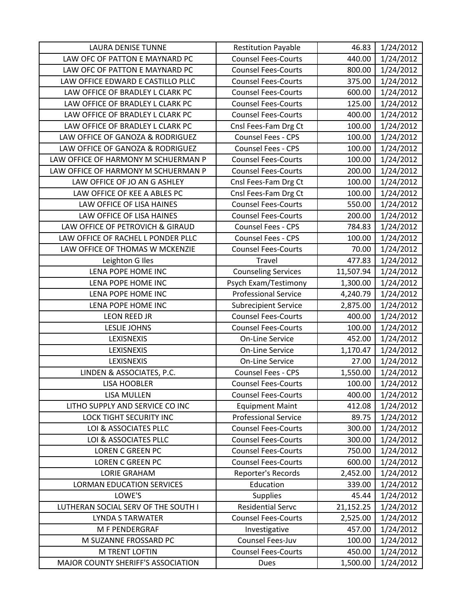| <b>LAURA DENISE TUNNE</b>           | <b>Restitution Payable</b>  | 46.83     | 1/24/2012 |
|-------------------------------------|-----------------------------|-----------|-----------|
| LAW OFC OF PATTON E MAYNARD PC      | <b>Counsel Fees-Courts</b>  | 440.00    | 1/24/2012 |
| LAW OFC OF PATTON E MAYNARD PC      | <b>Counsel Fees-Courts</b>  | 800.00    | 1/24/2012 |
| LAW OFFICE EDWARD E CASTILLO PLLC   | <b>Counsel Fees-Courts</b>  | 375.00    | 1/24/2012 |
| LAW OFFICE OF BRADLEY L CLARK PC    | <b>Counsel Fees-Courts</b>  | 600.00    | 1/24/2012 |
| LAW OFFICE OF BRADLEY L CLARK PC    | <b>Counsel Fees-Courts</b>  | 125.00    | 1/24/2012 |
| LAW OFFICE OF BRADLEY L CLARK PC    | <b>Counsel Fees-Courts</b>  | 400.00    | 1/24/2012 |
| LAW OFFICE OF BRADLEY L CLARK PC    | Cnsl Fees-Fam Drg Ct        | 100.00    | 1/24/2012 |
| LAW OFFICE OF GANOZA & RODRIGUEZ    | Counsel Fees - CPS          | 100.00    | 1/24/2012 |
| LAW OFFICE OF GANOZA & RODRIGUEZ    | <b>Counsel Fees - CPS</b>   | 100.00    | 1/24/2012 |
| LAW OFFICE OF HARMONY M SCHUERMAN P | <b>Counsel Fees-Courts</b>  | 100.00    | 1/24/2012 |
| LAW OFFICE OF HARMONY M SCHUERMAN P | <b>Counsel Fees-Courts</b>  | 200.00    | 1/24/2012 |
| LAW OFFICE OF JO AN G ASHLEY        | Cnsl Fees-Fam Drg Ct        | 100.00    | 1/24/2012 |
| LAW OFFICE OF KEE A ABLES PC        | Cnsl Fees-Fam Drg Ct        | 100.00    | 1/24/2012 |
| LAW OFFICE OF LISA HAINES           | <b>Counsel Fees-Courts</b>  | 550.00    | 1/24/2012 |
| LAW OFFICE OF LISA HAINES           | <b>Counsel Fees-Courts</b>  | 200.00    | 1/24/2012 |
| LAW OFFICE OF PETROVICH & GIRAUD    | Counsel Fees - CPS          | 784.83    | 1/24/2012 |
| LAW OFFICE OF RACHEL L PONDER PLLC  | <b>Counsel Fees - CPS</b>   | 100.00    | 1/24/2012 |
| LAW OFFICE OF THOMAS W MCKENZIE     | <b>Counsel Fees-Courts</b>  | 70.00     | 1/24/2012 |
| Leighton G Iles                     | Travel                      | 477.83    | 1/24/2012 |
| LENA POPE HOME INC                  | <b>Counseling Services</b>  | 11,507.94 | 1/24/2012 |
| LENA POPE HOME INC                  | Psych Exam/Testimony        | 1,300.00  | 1/24/2012 |
| LENA POPE HOME INC                  | <b>Professional Service</b> | 4,240.79  | 1/24/2012 |
| LENA POPE HOME INC                  | <b>Subrecipient Service</b> | 2,875.00  | 1/24/2012 |
| LEON REED JR                        | <b>Counsel Fees-Courts</b>  | 400.00    | 1/24/2012 |
| <b>LESLIE JOHNS</b>                 | <b>Counsel Fees-Courts</b>  | 100.00    | 1/24/2012 |
| LEXISNEXIS                          | <b>On-Line Service</b>      | 452.00    | 1/24/2012 |
| LEXISNEXIS                          | <b>On-Line Service</b>      | 1,170.47  | 1/24/2012 |
| LEXISNEXIS                          | <b>On-Line Service</b>      | 27.00     | 1/24/2012 |
| LINDEN & ASSOCIATES, P.C.           | Counsel Fees - CPS          | 1,550.00  | 1/24/2012 |
| <b>LISA HOOBLER</b>                 | <b>Counsel Fees-Courts</b>  | 100.00    | 1/24/2012 |
| <b>LISA MULLEN</b>                  | <b>Counsel Fees-Courts</b>  | 400.00    | 1/24/2012 |
| LITHO SUPPLY AND SERVICE CO INC     | <b>Equipment Maint</b>      | 412.08    | 1/24/2012 |
| LOCK TIGHT SECURITY INC             | <b>Professional Service</b> | 89.75     | 1/24/2012 |
| LOI & ASSOCIATES PLLC               | <b>Counsel Fees-Courts</b>  | 300.00    | 1/24/2012 |
| LOI & ASSOCIATES PLLC               | <b>Counsel Fees-Courts</b>  | 300.00    | 1/24/2012 |
| <b>LOREN C GREEN PC</b>             | <b>Counsel Fees-Courts</b>  | 750.00    | 1/24/2012 |
| <b>LOREN C GREEN PC</b>             | <b>Counsel Fees-Courts</b>  | 600.00    | 1/24/2012 |
| <b>LORIE GRAHAM</b>                 | Reporter's Records          | 2,452.00  | 1/24/2012 |
| <b>LORMAN EDUCATION SERVICES</b>    | Education                   | 339.00    | 1/24/2012 |
| LOWE'S                              | <b>Supplies</b>             | 45.44     | 1/24/2012 |
| LUTHERAN SOCIAL SERV OF THE SOUTH I | <b>Residential Servc</b>    | 21,152.25 | 1/24/2012 |
| <b>LYNDA S TARWATER</b>             | <b>Counsel Fees-Courts</b>  | 2,525.00  | 1/24/2012 |
| M F PENDERGRAF                      | Investigative               | 457.00    | 1/24/2012 |
| M SUZANNE FROSSARD PC               | Counsel Fees-Juv            | 100.00    | 1/24/2012 |
| M TRENT LOFTIN                      | <b>Counsel Fees-Courts</b>  | 450.00    | 1/24/2012 |
| MAJOR COUNTY SHERIFF'S ASSOCIATION  | Dues                        | 1,500.00  | 1/24/2012 |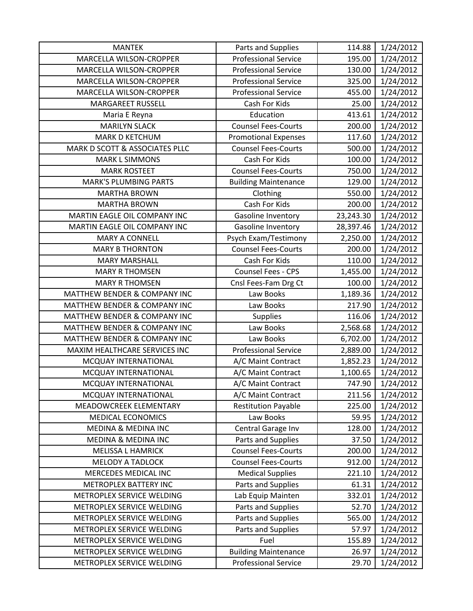| <b>MANTEK</b>                           | Parts and Supplies          | 114.88    | 1/24/2012 |
|-----------------------------------------|-----------------------------|-----------|-----------|
| MARCELLA WILSON-CROPPER                 | <b>Professional Service</b> | 195.00    | 1/24/2012 |
| MARCELLA WILSON-CROPPER                 | <b>Professional Service</b> | 130.00    | 1/24/2012 |
| MARCELLA WILSON-CROPPER                 | <b>Professional Service</b> | 325.00    | 1/24/2012 |
| MARCELLA WILSON-CROPPER                 | <b>Professional Service</b> | 455.00    | 1/24/2012 |
| <b>MARGAREET RUSSELL</b>                | Cash For Kids               | 25.00     | 1/24/2012 |
| Maria E Reyna                           | Education                   | 413.61    | 1/24/2012 |
| <b>MARILYN SLACK</b>                    | <b>Counsel Fees-Courts</b>  | 200.00    | 1/24/2012 |
| <b>MARK D KETCHUM</b>                   | <b>Promotional Expenses</b> | 117.60    | 1/24/2012 |
| MARK D SCOTT & ASSOCIATES PLLC          | <b>Counsel Fees-Courts</b>  | 500.00    | 1/24/2012 |
| <b>MARK L SIMMONS</b>                   | Cash For Kids               | 100.00    | 1/24/2012 |
| <b>MARK ROSTEET</b>                     | <b>Counsel Fees-Courts</b>  | 750.00    | 1/24/2012 |
| <b>MARK'S PLUMBING PARTS</b>            | <b>Building Maintenance</b> | 129.00    | 1/24/2012 |
| <b>MARTHA BROWN</b>                     | Clothing                    | 550.00    | 1/24/2012 |
| <b>MARTHA BROWN</b>                     | Cash For Kids               | 200.00    | 1/24/2012 |
| MARTIN EAGLE OIL COMPANY INC            | Gasoline Inventory          | 23,243.30 | 1/24/2012 |
| MARTIN EAGLE OIL COMPANY INC            | Gasoline Inventory          | 28,397.46 | 1/24/2012 |
| <b>MARY A CONNELL</b>                   | Psych Exam/Testimony        | 2,250.00  | 1/24/2012 |
| <b>MARY B THORNTON</b>                  | <b>Counsel Fees-Courts</b>  | 200.00    | 1/24/2012 |
| <b>MARY MARSHALL</b>                    | Cash For Kids               | 110.00    | 1/24/2012 |
| <b>MARY R THOMSEN</b>                   | Counsel Fees - CPS          | 1,455.00  | 1/24/2012 |
| <b>MARY R THOMSEN</b>                   | Cnsl Fees-Fam Drg Ct        | 100.00    | 1/24/2012 |
| MATTHEW BENDER & COMPANY INC            | Law Books                   | 1,189.36  | 1/24/2012 |
| <b>MATTHEW BENDER &amp; COMPANY INC</b> | Law Books                   | 217.90    | 1/24/2012 |
| MATTHEW BENDER & COMPANY INC            | Supplies                    | 116.06    | 1/24/2012 |
| MATTHEW BENDER & COMPANY INC            | Law Books                   | 2,568.68  | 1/24/2012 |
| MATTHEW BENDER & COMPANY INC            | Law Books                   | 6,702.00  | 1/24/2012 |
| MAXIM HEALTHCARE SERVICES INC           | <b>Professional Service</b> | 2,889.00  | 1/24/2012 |
| MCQUAY INTERNATIONAL                    | A/C Maint Contract          | 1,852.23  | 1/24/2012 |
| MCQUAY INTERNATIONAL                    | A/C Maint Contract          | 1,100.65  | 1/24/2012 |
| MCQUAY INTERNATIONAL                    | A/C Maint Contract          | 747.90    | 1/24/2012 |
| MCQUAY INTERNATIONAL                    | A/C Maint Contract          | 211.56    | 1/24/2012 |
| MEADOWCREEK ELEMENTARY                  | <b>Restitution Payable</b>  | 225.00    | 1/24/2012 |
| MEDICAL ECONOMICS                       | Law Books                   | 59.95     | 1/24/2012 |
| <b>MEDINA &amp; MEDINA INC</b>          | Central Garage Inv          | 128.00    | 1/24/2012 |
| <b>MEDINA &amp; MEDINA INC</b>          | Parts and Supplies          | 37.50     | 1/24/2012 |
| <b>MELISSA L HAMRICK</b>                | <b>Counsel Fees-Courts</b>  | 200.00    | 1/24/2012 |
| <b>MELODY A TADLOCK</b>                 | <b>Counsel Fees-Courts</b>  | 912.00    | 1/24/2012 |
| MERCEDES MEDICAL INC                    | <b>Medical Supplies</b>     | 221.10    | 1/24/2012 |
| METROPLEX BATTERY INC                   | Parts and Supplies          | 61.31     | 1/24/2012 |
| METROPLEX SERVICE WELDING               | Lab Equip Mainten           | 332.01    | 1/24/2012 |
| METROPLEX SERVICE WELDING               | Parts and Supplies          | 52.70     | 1/24/2012 |
| METROPLEX SERVICE WELDING               | Parts and Supplies          | 565.00    | 1/24/2012 |
| METROPLEX SERVICE WELDING               | Parts and Supplies          | 57.97     | 1/24/2012 |
| METROPLEX SERVICE WELDING               | Fuel                        | 155.89    | 1/24/2012 |
| METROPLEX SERVICE WELDING               | <b>Building Maintenance</b> | 26.97     | 1/24/2012 |
| METROPLEX SERVICE WELDING               | <b>Professional Service</b> | 29.70     | 1/24/2012 |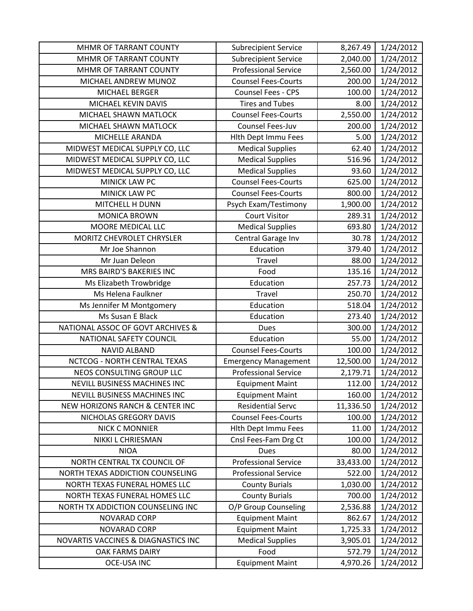| MHMR OF TARRANT COUNTY                     | <b>Subrecipient Service</b> | 8,267.49  | 1/24/2012 |
|--------------------------------------------|-----------------------------|-----------|-----------|
| MHMR OF TARRANT COUNTY                     | <b>Subrecipient Service</b> | 2,040.00  | 1/24/2012 |
| MHMR OF TARRANT COUNTY                     | <b>Professional Service</b> | 2,560.00  | 1/24/2012 |
| MICHAEL ANDREW MUNOZ                       | <b>Counsel Fees-Courts</b>  | 200.00    | 1/24/2012 |
| <b>MICHAEL BERGER</b>                      | <b>Counsel Fees - CPS</b>   | 100.00    | 1/24/2012 |
| MICHAEL KEVIN DAVIS                        | <b>Tires and Tubes</b>      | 8.00      | 1/24/2012 |
| MICHAEL SHAWN MATLOCK                      | <b>Counsel Fees-Courts</b>  | 2,550.00  | 1/24/2012 |
| MICHAEL SHAWN MATLOCK                      | Counsel Fees-Juv            | 200.00    | 1/24/2012 |
| MICHELLE ARANDA                            | Hith Dept Immu Fees         | 5.00      | 1/24/2012 |
| MIDWEST MEDICAL SUPPLY CO, LLC             | <b>Medical Supplies</b>     | 62.40     | 1/24/2012 |
| MIDWEST MEDICAL SUPPLY CO, LLC             | <b>Medical Supplies</b>     | 516.96    | 1/24/2012 |
| MIDWEST MEDICAL SUPPLY CO, LLC             | <b>Medical Supplies</b>     | 93.60     | 1/24/2012 |
| MINICK LAW PC                              | <b>Counsel Fees-Courts</b>  | 625.00    | 1/24/2012 |
| MINICK LAW PC                              | <b>Counsel Fees-Courts</b>  | 800.00    | 1/24/2012 |
| <b>MITCHELL H DUNN</b>                     | Psych Exam/Testimony        | 1,900.00  | 1/24/2012 |
| <b>MONICA BROWN</b>                        | <b>Court Visitor</b>        | 289.31    | 1/24/2012 |
| MOORE MEDICAL LLC                          | <b>Medical Supplies</b>     | 693.80    | 1/24/2012 |
| MORITZ CHEVROLET CHRYSLER                  | Central Garage Inv          | 30.78     | 1/24/2012 |
| Mr Joe Shannon                             | Education                   | 379.40    | 1/24/2012 |
| Mr Juan Deleon                             | Travel                      | 88.00     | 1/24/2012 |
| MRS BAIRD'S BAKERIES INC                   | Food                        | 135.16    | 1/24/2012 |
| Ms Elizabeth Trowbridge                    | Education                   | 257.73    | 1/24/2012 |
| Ms Helena Faulkner                         | Travel                      | 250.70    | 1/24/2012 |
| Ms Jennifer M Montgomery                   | Education                   | 518.04    | 1/24/2012 |
| Ms Susan E Black                           | Education                   | 273.40    | 1/24/2012 |
| NATIONAL ASSOC OF GOVT ARCHIVES &          | <b>Dues</b>                 | 300.00    | 1/24/2012 |
| NATIONAL SAFETY COUNCIL                    | Education                   | 55.00     | 1/24/2012 |
| <b>NAVID ALBAND</b>                        | <b>Counsel Fees-Courts</b>  | 100.00    | 1/24/2012 |
| NCTCOG - NORTH CENTRAL TEXAS               | <b>Emergency Management</b> | 12,500.00 | 1/24/2012 |
| NEOS CONSULTING GROUP LLC                  | <b>Professional Service</b> | 2,179.71  | 1/24/2012 |
| NEVILL BUSINESS MACHINES INC               | <b>Equipment Maint</b>      | 112.00    | 1/24/2012 |
| <b>NEVILL BUSINESS MACHINES INC</b>        | <b>Equipment Maint</b>      | 160.00    | 1/24/2012 |
| <b>NEW HORIZONS RANCH &amp; CENTER INC</b> | <b>Residential Servc</b>    | 11,336.50 | 1/24/2012 |
| NICHOLAS GREGORY DAVIS                     | <b>Counsel Fees-Courts</b>  | 100.00    | 1/24/2012 |
| <b>NICK C MONNIER</b>                      | <b>Hith Dept Immu Fees</b>  | 11.00     | 1/24/2012 |
| NIKKI L CHRIESMAN                          | Cnsl Fees-Fam Drg Ct        | 100.00    | 1/24/2012 |
| <b>NIOA</b>                                | <b>Dues</b>                 | 80.00     | 1/24/2012 |
| NORTH CENTRAL TX COUNCIL OF                | <b>Professional Service</b> | 33,433.00 | 1/24/2012 |
| NORTH TEXAS ADDICTION COUNSELING           | <b>Professional Service</b> | 522.00    | 1/24/2012 |
| NORTH TEXAS FUNERAL HOMES LLC              | <b>County Burials</b>       | 1,030.00  | 1/24/2012 |
| NORTH TEXAS FUNERAL HOMES LLC              | <b>County Burials</b>       | 700.00    | 1/24/2012 |
| NORTH TX ADDICTION COUNSELING INC          | O/P Group Counseling        | 2,536.88  | 1/24/2012 |
| NOVARAD CORP                               | <b>Equipment Maint</b>      | 862.67    | 1/24/2012 |
| <b>NOVARAD CORP</b>                        | <b>Equipment Maint</b>      | 1,725.33  | 1/24/2012 |
| NOVARTIS VACCINES & DIAGNASTICS INC        | <b>Medical Supplies</b>     | 3,905.01  | 1/24/2012 |
| <b>OAK FARMS DAIRY</b>                     | Food                        | 572.79    | 1/24/2012 |
| <b>OCE-USA INC</b>                         | <b>Equipment Maint</b>      | 4,970.26  | 1/24/2012 |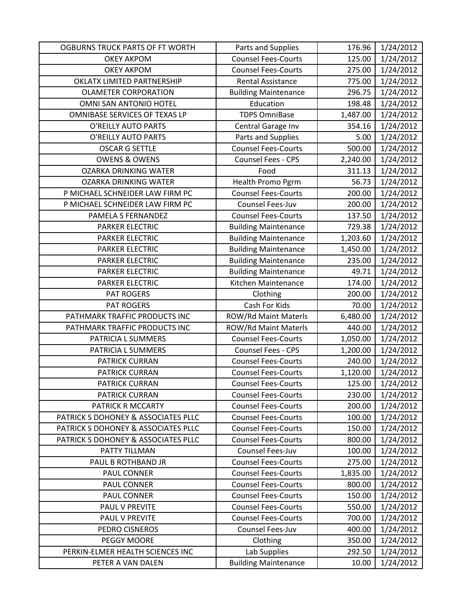| OGBURNS TRUCK PARTS OF FT WORTH     | Parts and Supplies          | 176.96           | 1/24/2012 |
|-------------------------------------|-----------------------------|------------------|-----------|
| <b>OKEY AKPOM</b>                   | <b>Counsel Fees-Courts</b>  | 125.00           | 1/24/2012 |
| <b>OKEY AKPOM</b>                   | <b>Counsel Fees-Courts</b>  | 275.00           | 1/24/2012 |
| OKLATX LIMITED PARTNERSHIP          | Rental Assistance           | 775.00           | 1/24/2012 |
| <b>OLAMETER CORPORATION</b>         | <b>Building Maintenance</b> | 296.75           | 1/24/2012 |
| OMNI SAN ANTONIO HOTEL              | Education                   | 198.48           | 1/24/2012 |
| OMNIBASE SERVICES OF TEXAS LP       | <b>TDPS OmniBase</b>        | 1,487.00         | 1/24/2012 |
| O'REILLY AUTO PARTS                 | Central Garage Inv          | 354.16           | 1/24/2012 |
| O'REILLY AUTO PARTS                 | Parts and Supplies          | 5.00             | 1/24/2012 |
| <b>OSCAR G SETTLE</b>               | <b>Counsel Fees-Courts</b>  | 500.00           | 1/24/2012 |
| <b>OWENS &amp; OWENS</b>            | Counsel Fees - CPS          | 2,240.00         | 1/24/2012 |
| <b>OZARKA DRINKING WATER</b>        | Food                        | 311.13           | 1/24/2012 |
| <b>OZARKA DRINKING WATER</b>        | Health Promo Pgrm           | 56.73            | 1/24/2012 |
| P MICHAEL SCHNEIDER LAW FIRM PC     | <b>Counsel Fees-Courts</b>  | 200.00           | 1/24/2012 |
| P MICHAEL SCHNEIDER LAW FIRM PC     | Counsel Fees-Juv            | 200.00           | 1/24/2012 |
| PAMELA S FERNANDEZ                  | <b>Counsel Fees-Courts</b>  | 137.50           | 1/24/2012 |
| <b>PARKER ELECTRIC</b>              | <b>Building Maintenance</b> | 729.38           | 1/24/2012 |
| PARKER ELECTRIC                     | <b>Building Maintenance</b> | 1,203.60         | 1/24/2012 |
| <b>PARKER ELECTRIC</b>              | <b>Building Maintenance</b> | 1,450.00         | 1/24/2012 |
| <b>PARKER ELECTRIC</b>              | <b>Building Maintenance</b> | 235.00           | 1/24/2012 |
| PARKER ELECTRIC                     | <b>Building Maintenance</b> | 49.71            | 1/24/2012 |
| <b>PARKER ELECTRIC</b>              | Kitchen Maintenance         | 174.00           | 1/24/2012 |
| <b>PAT ROGERS</b>                   | Clothing                    | 200.00           | 1/24/2012 |
| <b>PAT ROGERS</b>                   | Cash For Kids               | 70.00            | 1/24/2012 |
| PATHMARK TRAFFIC PRODUCTS INC       | ROW/Rd Maint Materls        | 6,480.00         | 1/24/2012 |
| PATHMARK TRAFFIC PRODUCTS INC       | ROW/Rd Maint Materls        | 440.00           | 1/24/2012 |
| PATRICIA L SUMMERS                  | <b>Counsel Fees-Courts</b>  | 1,050.00         | 1/24/2012 |
| PATRICIA L SUMMERS                  | Counsel Fees - CPS          | 1,200.00         | 1/24/2012 |
| PATRICK CURRAN                      | <b>Counsel Fees-Courts</b>  | 240.00           | 1/24/2012 |
| PATRICK CURRAN                      | <b>Counsel Fees-Courts</b>  | 1,120.00         | 1/24/2012 |
| <b>PATRICK CURRAN</b>               | <b>Counsel Fees-Courts</b>  | 125.00           | 1/24/2012 |
| <b>PATRICK CURRAN</b>               | <b>Counsel Fees-Courts</b>  | 230.00           | 1/24/2012 |
| PATRICK R MCCARTY                   | <b>Counsel Fees-Courts</b>  | 200.00           | 1/24/2012 |
| PATRICK S DOHONEY & ASSOCIATES PLLC | <b>Counsel Fees-Courts</b>  | 100.00           | 1/24/2012 |
| PATRICK S DOHONEY & ASSOCIATES PLLC | <b>Counsel Fees-Courts</b>  | 150.00           | 1/24/2012 |
| PATRICK S DOHONEY & ASSOCIATES PLLC | <b>Counsel Fees-Courts</b>  | 800.00           | 1/24/2012 |
| PATTY TILLMAN                       | Counsel Fees-Juv            | 100.00           | 1/24/2012 |
| PAUL B ROTHBAND JR                  | <b>Counsel Fees-Courts</b>  | 275.00           | 1/24/2012 |
| <b>PAUL CONNER</b>                  | <b>Counsel Fees-Courts</b>  | 1,835.00         | 1/24/2012 |
| PAUL CONNER                         | <b>Counsel Fees-Courts</b>  | 800.00           | 1/24/2012 |
| PAUL CONNER                         | <b>Counsel Fees-Courts</b>  | 150.00           | 1/24/2012 |
| PAUL V PREVITE                      | <b>Counsel Fees-Courts</b>  | 550.00           | 1/24/2012 |
| PAUL V PREVITE                      | <b>Counsel Fees-Courts</b>  | 700.00           | 1/24/2012 |
| PEDRO CISNEROS<br>PEGGY MOORE       | Counsel Fees-Juv            | 400.00<br>350.00 | 1/24/2012 |
| PERKIN-ELMER HEALTH SCIENCES INC    | Clothing                    |                  | 1/24/2012 |
|                                     | Lab Supplies                | 292.50           | 1/24/2012 |
| PETER A VAN DALEN                   | <b>Building Maintenance</b> | 10.00            | 1/24/2012 |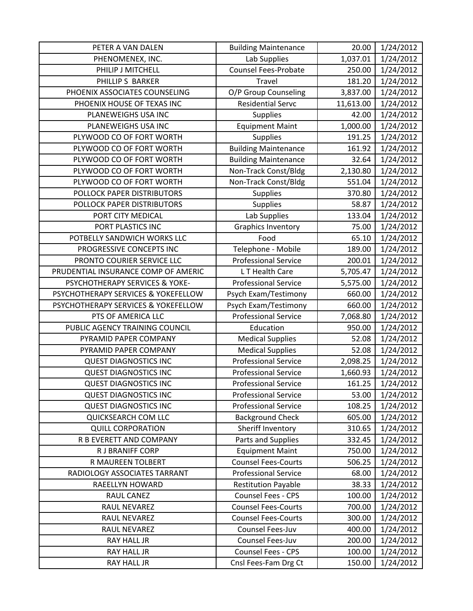| PETER A VAN DALEN                   | <b>Building Maintenance</b> | 20.00     | 1/24/2012 |
|-------------------------------------|-----------------------------|-----------|-----------|
| PHENOMENEX, INC.                    | Lab Supplies                | 1,037.01  | 1/24/2012 |
| PHILIP J MITCHELL                   | <b>Counsel Fees-Probate</b> | 250.00    | 1/24/2012 |
| PHILLIP S BARKER                    | Travel                      | 181.20    | 1/24/2012 |
| PHOENIX ASSOCIATES COUNSELING       | O/P Group Counseling        | 3,837.00  | 1/24/2012 |
| PHOENIX HOUSE OF TEXAS INC          | <b>Residential Servc</b>    | 11,613.00 | 1/24/2012 |
| PLANEWEIGHS USA INC                 | Supplies                    | 42.00     | 1/24/2012 |
| PLANEWEIGHS USA INC                 | <b>Equipment Maint</b>      | 1,000.00  | 1/24/2012 |
| PLYWOOD CO OF FORT WORTH            | <b>Supplies</b>             | 191.25    | 1/24/2012 |
| PLYWOOD CO OF FORT WORTH            | <b>Building Maintenance</b> | 161.92    | 1/24/2012 |
| PLYWOOD CO OF FORT WORTH            | <b>Building Maintenance</b> | 32.64     | 1/24/2012 |
| PLYWOOD CO OF FORT WORTH            | Non-Track Const/Bldg        | 2,130.80  | 1/24/2012 |
| PLYWOOD CO OF FORT WORTH            | Non-Track Const/Bldg        | 551.04    | 1/24/2012 |
| POLLOCK PAPER DISTRIBUTORS          | <b>Supplies</b>             | 370.80    | 1/24/2012 |
| POLLOCK PAPER DISTRIBUTORS          | <b>Supplies</b>             | 58.87     | 1/24/2012 |
| PORT CITY MEDICAL                   | Lab Supplies                | 133.04    | 1/24/2012 |
| PORT PLASTICS INC                   | <b>Graphics Inventory</b>   | 75.00     | 1/24/2012 |
| POTBELLY SANDWICH WORKS LLC         | Food                        | 65.10     | 1/24/2012 |
| PROGRESSIVE CONCEPTS INC            | Telephone - Mobile          | 189.00    | 1/24/2012 |
| PRONTO COURIER SERVICE LLC          | <b>Professional Service</b> | 200.01    | 1/24/2012 |
| PRUDENTIAL INSURANCE COMP OF AMERIC | L T Health Care             | 5,705.47  | 1/24/2012 |
| PSYCHOTHERAPY SERVICES & YOKE-      | <b>Professional Service</b> | 5,575.00  | 1/24/2012 |
| PSYCHOTHERAPY SERVICES & YOKEFELLOW | Psych Exam/Testimony        | 660.00    | 1/24/2012 |
| PSYCHOTHERAPY SERVICES & YOKEFELLOW | Psych Exam/Testimony        | 660.00    | 1/24/2012 |
| PTS OF AMERICA LLC                  | <b>Professional Service</b> | 7,068.80  | 1/24/2012 |
| PUBLIC AGENCY TRAINING COUNCIL      | Education                   | 950.00    | 1/24/2012 |
| PYRAMID PAPER COMPANY               | <b>Medical Supplies</b>     | 52.08     | 1/24/2012 |
| PYRAMID PAPER COMPANY               | <b>Medical Supplies</b>     | 52.08     | 1/24/2012 |
| <b>QUEST DIAGNOSTICS INC</b>        | <b>Professional Service</b> | 2,098.25  | 1/24/2012 |
| <b>QUEST DIAGNOSTICS INC</b>        | <b>Professional Service</b> | 1,660.93  | 1/24/2012 |
| <b>QUEST DIAGNOSTICS INC</b>        | <b>Professional Service</b> | 161.25    | 1/24/2012 |
| <b>QUEST DIAGNOSTICS INC</b>        | <b>Professional Service</b> | 53.00     | 1/24/2012 |
| <b>QUEST DIAGNOSTICS INC</b>        | <b>Professional Service</b> | 108.25    | 1/24/2012 |
| QUICKSEARCH COM LLC                 | <b>Background Check</b>     | 605.00    | 1/24/2012 |
| <b>QUILL CORPORATION</b>            | Sheriff Inventory           | 310.65    | 1/24/2012 |
| R B EVERETT AND COMPANY             | Parts and Supplies          | 332.45    | 1/24/2012 |
| R J BRANIFF CORP                    | <b>Equipment Maint</b>      | 750.00    | 1/24/2012 |
| R MAUREEN TOLBERT                   | <b>Counsel Fees-Courts</b>  | 506.25    | 1/24/2012 |
| RADIOLOGY ASSOCIATES TARRANT        | <b>Professional Service</b> | 68.00     | 1/24/2012 |
| RAEELLYN HOWARD                     | <b>Restitution Payable</b>  | 38.33     | 1/24/2012 |
| RAUL CANEZ                          | Counsel Fees - CPS          | 100.00    | 1/24/2012 |
| RAUL NEVAREZ                        | <b>Counsel Fees-Courts</b>  | 700.00    | 1/24/2012 |
| RAUL NEVAREZ                        | <b>Counsel Fees-Courts</b>  | 300.00    | 1/24/2012 |
| RAUL NEVAREZ                        | Counsel Fees-Juv            | 400.00    | 1/24/2012 |
| RAY HALL JR                         | Counsel Fees-Juv            | 200.00    | 1/24/2012 |
| RAY HALL JR                         | Counsel Fees - CPS          | 100.00    | 1/24/2012 |
| RAY HALL JR                         | Cnsl Fees-Fam Drg Ct        | 150.00    | 1/24/2012 |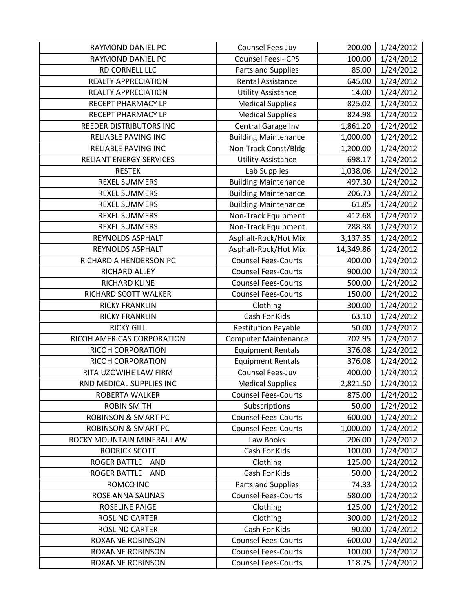| RAYMOND DANIEL PC                 | Counsel Fees-Juv            | 200.00    | 1/24/2012 |
|-----------------------------------|-----------------------------|-----------|-----------|
| RAYMOND DANIEL PC                 | Counsel Fees - CPS          | 100.00    | 1/24/2012 |
| RD CORNELL LLC                    | Parts and Supplies          | 85.00     | 1/24/2012 |
| <b>REALTY APPRECIATION</b>        | <b>Rental Assistance</b>    | 645.00    | 1/24/2012 |
| <b>REALTY APPRECIATION</b>        | <b>Utility Assistance</b>   | 14.00     | 1/24/2012 |
| RECEPT PHARMACY LP                | <b>Medical Supplies</b>     | 825.02    | 1/24/2012 |
| RECEPT PHARMACY LP                | <b>Medical Supplies</b>     | 824.98    | 1/24/2012 |
| REEDER DISTRIBUTORS INC           | Central Garage Inv          | 1,861.20  | 1/24/2012 |
| <b>RELIABLE PAVING INC</b>        | <b>Building Maintenance</b> | 1,000.00  | 1/24/2012 |
| RELIABLE PAVING INC               | Non-Track Const/Bldg        | 1,200.00  | 1/24/2012 |
| RELIANT ENERGY SERVICES           | <b>Utility Assistance</b>   | 698.17    | 1/24/2012 |
| <b>RESTEK</b>                     | Lab Supplies                | 1,038.06  | 1/24/2012 |
| <b>REXEL SUMMERS</b>              | <b>Building Maintenance</b> | 497.30    | 1/24/2012 |
| <b>REXEL SUMMERS</b>              | <b>Building Maintenance</b> | 206.73    | 1/24/2012 |
| <b>REXEL SUMMERS</b>              | <b>Building Maintenance</b> | 61.85     | 1/24/2012 |
| <b>REXEL SUMMERS</b>              | Non-Track Equipment         | 412.68    | 1/24/2012 |
| <b>REXEL SUMMERS</b>              | Non-Track Equipment         | 288.38    | 1/24/2012 |
| REYNOLDS ASPHALT                  | Asphalt-Rock/Hot Mix        | 3,137.35  | 1/24/2012 |
| REYNOLDS ASPHALT                  | Asphalt-Rock/Hot Mix        | 14,349.86 | 1/24/2012 |
| RICHARD A HENDERSON PC            | <b>Counsel Fees-Courts</b>  | 400.00    | 1/24/2012 |
| RICHARD ALLEY                     | <b>Counsel Fees-Courts</b>  | 900.00    | 1/24/2012 |
| RICHARD KLINE                     | <b>Counsel Fees-Courts</b>  | 500.00    | 1/24/2012 |
| RICHARD SCOTT WALKER              | <b>Counsel Fees-Courts</b>  | 150.00    | 1/24/2012 |
| <b>RICKY FRANKLIN</b>             | Clothing                    | 300.00    | 1/24/2012 |
| <b>RICKY FRANKLIN</b>             | Cash For Kids               | 63.10     | 1/24/2012 |
| <b>RICKY GILL</b>                 | <b>Restitution Payable</b>  | 50.00     | 1/24/2012 |
| RICOH AMERICAS CORPORATION        | <b>Computer Maintenance</b> | 702.95    | 1/24/2012 |
| RICOH CORPORATION                 | <b>Equipment Rentals</b>    | 376.08    | 1/24/2012 |
| RICOH CORPORATION                 | <b>Equipment Rentals</b>    | 376.08    | 1/24/2012 |
| RITA UZOWIHE LAW FIRM             | Counsel Fees-Juv            | 400.00    | 1/24/2012 |
| RND MEDICAL SUPPLIES INC          | <b>Medical Supplies</b>     | 2,821.50  | 1/24/2012 |
| ROBERTA WALKER                    | <b>Counsel Fees-Courts</b>  | 875.00    | 1/24/2012 |
| <b>ROBIN SMITH</b>                | Subscriptions               | 50.00     | 1/24/2012 |
| <b>ROBINSON &amp; SMART PC</b>    | <b>Counsel Fees-Courts</b>  | 600.00    | 1/24/2012 |
| <b>ROBINSON &amp; SMART PC</b>    | <b>Counsel Fees-Courts</b>  | 1,000.00  | 1/24/2012 |
| ROCKY MOUNTAIN MINERAL LAW        | Law Books                   | 206.00    | 1/24/2012 |
| <b>RODRICK SCOTT</b>              | Cash For Kids               | 100.00    | 1/24/2012 |
| ROGER BATTLE AND                  | Clothing                    | 125.00    | 1/24/2012 |
| <b>ROGER BATTLE</b><br><b>AND</b> | Cash For Kids               | 50.00     | 1/24/2012 |
| ROMCO INC                         | Parts and Supplies          | 74.33     | 1/24/2012 |
| ROSE ANNA SALINAS                 | <b>Counsel Fees-Courts</b>  | 580.00    | 1/24/2012 |
| <b>ROSELINE PAIGE</b>             | Clothing                    | 125.00    | 1/24/2012 |
| ROSLIND CARTER                    | Clothing                    | 300.00    | 1/24/2012 |
| <b>ROSLIND CARTER</b>             | Cash For Kids               | 90.00     | 1/24/2012 |
| <b>ROXANNE ROBINSON</b>           | <b>Counsel Fees-Courts</b>  | 600.00    | 1/24/2012 |
| <b>ROXANNE ROBINSON</b>           | <b>Counsel Fees-Courts</b>  | 100.00    | 1/24/2012 |
| ROXANNE ROBINSON                  | <b>Counsel Fees-Courts</b>  | 118.75    | 1/24/2012 |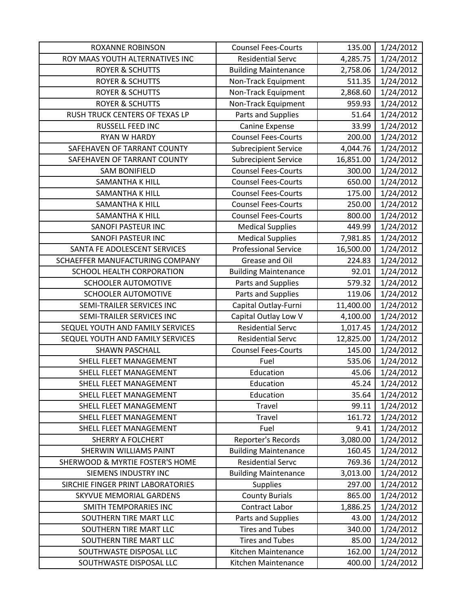| <b>ROXANNE ROBINSON</b>           | <b>Counsel Fees-Courts</b>  | 135.00    | 1/24/2012 |
|-----------------------------------|-----------------------------|-----------|-----------|
| ROY MAAS YOUTH ALTERNATIVES INC   | <b>Residential Servc</b>    | 4,285.75  | 1/24/2012 |
| <b>ROYER &amp; SCHUTTS</b>        | <b>Building Maintenance</b> | 2,758.06  | 1/24/2012 |
| <b>ROYER &amp; SCHUTTS</b>        | Non-Track Equipment         | 511.35    | 1/24/2012 |
| <b>ROYER &amp; SCHUTTS</b>        | Non-Track Equipment         | 2,868.60  | 1/24/2012 |
| <b>ROYER &amp; SCHUTTS</b>        | Non-Track Equipment         | 959.93    | 1/24/2012 |
| RUSH TRUCK CENTERS OF TEXAS LP    | Parts and Supplies          | 51.64     | 1/24/2012 |
| RUSSELL FEED INC                  | Canine Expense              | 33.99     | 1/24/2012 |
| RYAN W HARDY                      | <b>Counsel Fees-Courts</b>  | 200.00    | 1/24/2012 |
| SAFEHAVEN OF TARRANT COUNTY       | <b>Subrecipient Service</b> | 4,044.76  | 1/24/2012 |
| SAFEHAVEN OF TARRANT COUNTY       | <b>Subrecipient Service</b> | 16,851.00 | 1/24/2012 |
| <b>SAM BONIFIELD</b>              | <b>Counsel Fees-Courts</b>  | 300.00    | 1/24/2012 |
| <b>SAMANTHA K HILL</b>            | <b>Counsel Fees-Courts</b>  | 650.00    | 1/24/2012 |
| <b>SAMANTHA K HILL</b>            | <b>Counsel Fees-Courts</b>  | 175.00    | 1/24/2012 |
| SAMANTHA K HILL                   | <b>Counsel Fees-Courts</b>  | 250.00    | 1/24/2012 |
| <b>SAMANTHA K HILL</b>            | <b>Counsel Fees-Courts</b>  | 800.00    | 1/24/2012 |
| SANOFI PASTEUR INC                | <b>Medical Supplies</b>     | 449.99    | 1/24/2012 |
| SANOFI PASTEUR INC                | <b>Medical Supplies</b>     | 7,981.85  | 1/24/2012 |
| SANTA FE ADOLESCENT SERVICES      | <b>Professional Service</b> | 16,500.00 | 1/24/2012 |
| SCHAEFFER MANUFACTURING COMPANY   | Grease and Oil              | 224.83    | 1/24/2012 |
| SCHOOL HEALTH CORPORATION         | <b>Building Maintenance</b> | 92.01     | 1/24/2012 |
| <b>SCHOOLER AUTOMOTIVE</b>        | Parts and Supplies          | 579.32    | 1/24/2012 |
| <b>SCHOOLER AUTOMOTIVE</b>        | Parts and Supplies          | 119.06    | 1/24/2012 |
| SEMI-TRAILER SERVICES INC         | Capital Outlay-Furni        | 11,400.00 | 1/24/2012 |
| SEMI-TRAILER SERVICES INC         | Capital Outlay Low V        | 4,100.00  | 1/24/2012 |
| SEQUEL YOUTH AND FAMILY SERVICES  | <b>Residential Servc</b>    | 1,017.45  | 1/24/2012 |
| SEQUEL YOUTH AND FAMILY SERVICES  | <b>Residential Servc</b>    | 12,825.00 | 1/24/2012 |
| <b>SHAWN PASCHALL</b>             | <b>Counsel Fees-Courts</b>  | 145.00    | 1/24/2012 |
| <b>SHELL FLEET MANAGEMENT</b>     | Fuel                        | 535.06    | 1/24/2012 |
| SHELL FLEET MANAGEMENT            | Education                   | 45.06     | 1/24/2012 |
| SHELL FLEET MANAGEMENT            | Education                   | 45.24     | 1/24/2012 |
| SHELL FLEET MANAGEMENT            | Education                   | 35.64     | 1/24/2012 |
| SHELL FLEET MANAGEMENT            | Travel                      | 99.11     | 1/24/2012 |
| SHELL FLEET MANAGEMENT            | Travel                      | 161.72    | 1/24/2012 |
| SHELL FLEET MANAGEMENT            | Fuel                        | 9.41      | 1/24/2012 |
| <b>SHERRY A FOLCHERT</b>          | Reporter's Records          | 3,080.00  | 1/24/2012 |
| <b>SHERWIN WILLIAMS PAINT</b>     | <b>Building Maintenance</b> | 160.45    | 1/24/2012 |
| SHERWOOD & MYRTIE FOSTER'S HOME   | <b>Residential Servc</b>    | 769.36    | 1/24/2012 |
| SIEMENS INDUSTRY INC              | <b>Building Maintenance</b> | 3,013.00  | 1/24/2012 |
| SIRCHIE FINGER PRINT LABORATORIES | <b>Supplies</b>             | 297.00    | 1/24/2012 |
| SKYVUE MEMORIAL GARDENS           | <b>County Burials</b>       | 865.00    | 1/24/2012 |
| SMITH TEMPORARIES INC             | Contract Labor              | 1,886.25  | 1/24/2012 |
| SOUTHERN TIRE MART LLC            | Parts and Supplies          | 43.00     | 1/24/2012 |
| SOUTHERN TIRE MART LLC            | <b>Tires and Tubes</b>      | 340.00    | 1/24/2012 |
| SOUTHERN TIRE MART LLC            | <b>Tires and Tubes</b>      | 85.00     | 1/24/2012 |
| SOUTHWASTE DISPOSAL LLC           | Kitchen Maintenance         | 162.00    | 1/24/2012 |
| SOUTHWASTE DISPOSAL LLC           | Kitchen Maintenance         | 400.00    | 1/24/2012 |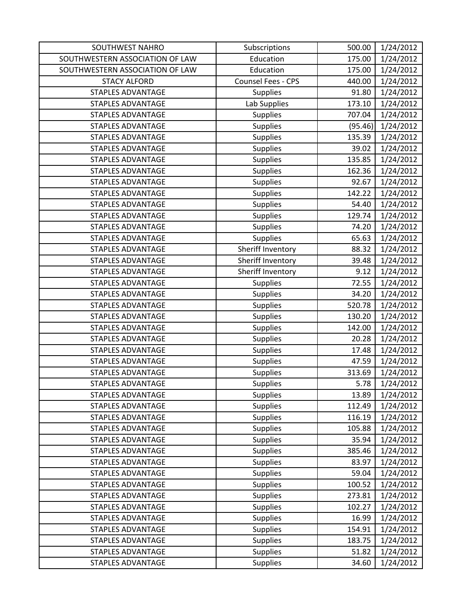| <b>SOUTHWEST NAHRO</b>          | Subscriptions      | 500.00  | 1/24/2012 |
|---------------------------------|--------------------|---------|-----------|
| SOUTHWESTERN ASSOCIATION OF LAW | Education          | 175.00  | 1/24/2012 |
| SOUTHWESTERN ASSOCIATION OF LAW | Education          | 175.00  | 1/24/2012 |
| <b>STACY ALFORD</b>             | Counsel Fees - CPS | 440.00  | 1/24/2012 |
| <b>STAPLES ADVANTAGE</b>        | <b>Supplies</b>    | 91.80   | 1/24/2012 |
| <b>STAPLES ADVANTAGE</b>        | Lab Supplies       | 173.10  | 1/24/2012 |
| <b>STAPLES ADVANTAGE</b>        | <b>Supplies</b>    | 707.04  | 1/24/2012 |
| <b>STAPLES ADVANTAGE</b>        | Supplies           | (95.46) | 1/24/2012 |
| <b>STAPLES ADVANTAGE</b>        | <b>Supplies</b>    | 135.39  | 1/24/2012 |
| <b>STAPLES ADVANTAGE</b>        | Supplies           | 39.02   | 1/24/2012 |
| <b>STAPLES ADVANTAGE</b>        | Supplies           | 135.85  | 1/24/2012 |
| <b>STAPLES ADVANTAGE</b>        | Supplies           | 162.36  | 1/24/2012 |
| <b>STAPLES ADVANTAGE</b>        | Supplies           | 92.67   | 1/24/2012 |
| <b>STAPLES ADVANTAGE</b>        | <b>Supplies</b>    | 142.22  | 1/24/2012 |
| <b>STAPLES ADVANTAGE</b>        | Supplies           | 54.40   | 1/24/2012 |
| <b>STAPLES ADVANTAGE</b>        | Supplies           | 129.74  | 1/24/2012 |
| <b>STAPLES ADVANTAGE</b>        | <b>Supplies</b>    | 74.20   | 1/24/2012 |
| <b>STAPLES ADVANTAGE</b>        | <b>Supplies</b>    | 65.63   | 1/24/2012 |
| <b>STAPLES ADVANTAGE</b>        | Sheriff Inventory  | 88.32   | 1/24/2012 |
| <b>STAPLES ADVANTAGE</b>        | Sheriff Inventory  | 39.48   | 1/24/2012 |
| <b>STAPLES ADVANTAGE</b>        | Sheriff Inventory  | 9.12    | 1/24/2012 |
| <b>STAPLES ADVANTAGE</b>        | <b>Supplies</b>    | 72.55   | 1/24/2012 |
| <b>STAPLES ADVANTAGE</b>        | Supplies           | 34.20   | 1/24/2012 |
| <b>STAPLES ADVANTAGE</b>        | Supplies           | 520.78  | 1/24/2012 |
| <b>STAPLES ADVANTAGE</b>        | Supplies           | 130.20  | 1/24/2012 |
| <b>STAPLES ADVANTAGE</b>        | Supplies           | 142.00  | 1/24/2012 |
| <b>STAPLES ADVANTAGE</b>        | <b>Supplies</b>    | 20.28   | 1/24/2012 |
| <b>STAPLES ADVANTAGE</b>        | <b>Supplies</b>    | 17.48   | 1/24/2012 |
| <b>STAPLES ADVANTAGE</b>        | Supplies           | 47.59   | 1/24/2012 |
| <b>STAPLES ADVANTAGE</b>        | Supplies           | 313.69  | 1/24/2012 |
| <b>STAPLES ADVANTAGE</b>        | <b>Supplies</b>    | 5.78    | 1/24/2012 |
| <b>STAPLES ADVANTAGE</b>        | Supplies           | 13.89   | 1/24/2012 |
| <b>STAPLES ADVANTAGE</b>        | Supplies           | 112.49  | 1/24/2012 |
| <b>STAPLES ADVANTAGE</b>        | <b>Supplies</b>    | 116.19  | 1/24/2012 |
| <b>STAPLES ADVANTAGE</b>        | <b>Supplies</b>    | 105.88  | 1/24/2012 |
| <b>STAPLES ADVANTAGE</b>        | <b>Supplies</b>    | 35.94   | 1/24/2012 |
| STAPLES ADVANTAGE               | <b>Supplies</b>    | 385.46  | 1/24/2012 |
| <b>STAPLES ADVANTAGE</b>        | Supplies           | 83.97   | 1/24/2012 |
| <b>STAPLES ADVANTAGE</b>        | <b>Supplies</b>    | 59.04   | 1/24/2012 |
| <b>STAPLES ADVANTAGE</b>        | <b>Supplies</b>    | 100.52  | 1/24/2012 |
| <b>STAPLES ADVANTAGE</b>        | Supplies           | 273.81  | 1/24/2012 |
| <b>STAPLES ADVANTAGE</b>        | <b>Supplies</b>    | 102.27  | 1/24/2012 |
| <b>STAPLES ADVANTAGE</b>        | <b>Supplies</b>    | 16.99   | 1/24/2012 |
| STAPLES ADVANTAGE               | Supplies           | 154.91  | 1/24/2012 |
| <b>STAPLES ADVANTAGE</b>        | Supplies           | 183.75  | 1/24/2012 |
| <b>STAPLES ADVANTAGE</b>        | <b>Supplies</b>    | 51.82   | 1/24/2012 |
| <b>STAPLES ADVANTAGE</b>        | <b>Supplies</b>    | 34.60   | 1/24/2012 |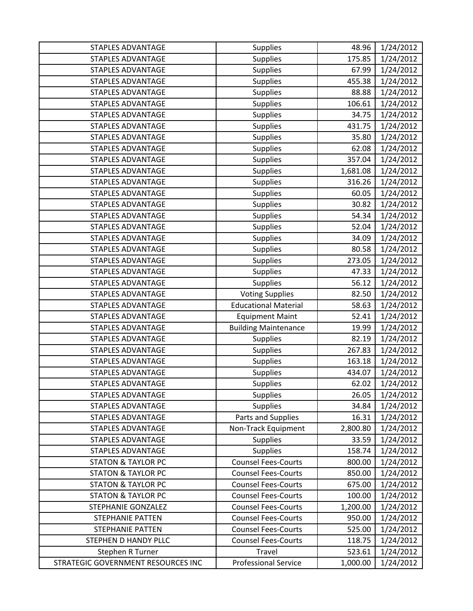| <b>STAPLES ADVANTAGE</b>           | <b>Supplies</b>             | 48.96    | 1/24/2012 |
|------------------------------------|-----------------------------|----------|-----------|
| <b>STAPLES ADVANTAGE</b>           | <b>Supplies</b>             | 175.85   | 1/24/2012 |
| <b>STAPLES ADVANTAGE</b>           | <b>Supplies</b>             | 67.99    | 1/24/2012 |
| <b>STAPLES ADVANTAGE</b>           | <b>Supplies</b>             | 455.38   | 1/24/2012 |
| <b>STAPLES ADVANTAGE</b>           | Supplies                    | 88.88    | 1/24/2012 |
| <b>STAPLES ADVANTAGE</b>           | Supplies                    | 106.61   | 1/24/2012 |
| <b>STAPLES ADVANTAGE</b>           | Supplies                    | 34.75    | 1/24/2012 |
| <b>STAPLES ADVANTAGE</b>           | Supplies                    | 431.75   | 1/24/2012 |
| <b>STAPLES ADVANTAGE</b>           | Supplies                    | 35.80    | 1/24/2012 |
| <b>STAPLES ADVANTAGE</b>           | Supplies                    | 62.08    | 1/24/2012 |
| <b>STAPLES ADVANTAGE</b>           | Supplies                    | 357.04   | 1/24/2012 |
| <b>STAPLES ADVANTAGE</b>           | Supplies                    | 1,681.08 | 1/24/2012 |
| STAPLES ADVANTAGE                  | Supplies                    | 316.26   | 1/24/2012 |
| <b>STAPLES ADVANTAGE</b>           | Supplies                    | 60.05    | 1/24/2012 |
| <b>STAPLES ADVANTAGE</b>           | Supplies                    | 30.82    | 1/24/2012 |
| <b>STAPLES ADVANTAGE</b>           | Supplies                    | 54.34    | 1/24/2012 |
| <b>STAPLES ADVANTAGE</b>           | Supplies                    | 52.04    | 1/24/2012 |
| <b>STAPLES ADVANTAGE</b>           | <b>Supplies</b>             | 34.09    | 1/24/2012 |
| <b>STAPLES ADVANTAGE</b>           | Supplies                    | 80.58    | 1/24/2012 |
| <b>STAPLES ADVANTAGE</b>           | Supplies                    | 273.05   | 1/24/2012 |
| <b>STAPLES ADVANTAGE</b>           | <b>Supplies</b>             | 47.33    | 1/24/2012 |
| <b>STAPLES ADVANTAGE</b>           | <b>Supplies</b>             | 56.12    | 1/24/2012 |
| <b>STAPLES ADVANTAGE</b>           | <b>Voting Supplies</b>      | 82.50    | 1/24/2012 |
| <b>STAPLES ADVANTAGE</b>           | <b>Educational Material</b> | 58.63    | 1/24/2012 |
| <b>STAPLES ADVANTAGE</b>           | <b>Equipment Maint</b>      | 52.41    | 1/24/2012 |
| <b>STAPLES ADVANTAGE</b>           | <b>Building Maintenance</b> | 19.99    | 1/24/2012 |
| <b>STAPLES ADVANTAGE</b>           | Supplies                    | 82.19    | 1/24/2012 |
| <b>STAPLES ADVANTAGE</b>           | Supplies                    | 267.83   | 1/24/2012 |
| <b>STAPLES ADVANTAGE</b>           | Supplies                    | 163.18   | 1/24/2012 |
| STAPLES ADVANTAGE                  | Supplies                    | 434.07   | 1/24/2012 |
| <b>STAPLES ADVANTAGE</b>           | Supplies                    | 62.02    | 1/24/2012 |
| <b>STAPLES ADVANTAGE</b>           | <b>Supplies</b>             | 26.05    | 1/24/2012 |
| <b>STAPLES ADVANTAGE</b>           | Supplies                    | 34.84    | 1/24/2012 |
| <b>STAPLES ADVANTAGE</b>           | Parts and Supplies          | 16.31    | 1/24/2012 |
| <b>STAPLES ADVANTAGE</b>           | Non-Track Equipment         | 2,800.80 | 1/24/2012 |
| <b>STAPLES ADVANTAGE</b>           | Supplies                    | 33.59    | 1/24/2012 |
| <b>STAPLES ADVANTAGE</b>           | <b>Supplies</b>             | 158.74   | 1/24/2012 |
| <b>STATON &amp; TAYLOR PC</b>      | <b>Counsel Fees-Courts</b>  | 800.00   | 1/24/2012 |
| <b>STATON &amp; TAYLOR PC</b>      | <b>Counsel Fees-Courts</b>  | 850.00   | 1/24/2012 |
| <b>STATON &amp; TAYLOR PC</b>      | <b>Counsel Fees-Courts</b>  | 675.00   | 1/24/2012 |
| <b>STATON &amp; TAYLOR PC</b>      | <b>Counsel Fees-Courts</b>  | 100.00   | 1/24/2012 |
| STEPHANIE GONZALEZ                 | <b>Counsel Fees-Courts</b>  | 1,200.00 | 1/24/2012 |
| <b>STEPHANIE PATTEN</b>            | <b>Counsel Fees-Courts</b>  | 950.00   | 1/24/2012 |
| <b>STEPHANIE PATTEN</b>            | <b>Counsel Fees-Courts</b>  | 525.00   | 1/24/2012 |
| STEPHEN D HANDY PLLC               | <b>Counsel Fees-Courts</b>  | 118.75   | 1/24/2012 |
| Stephen R Turner                   | Travel                      | 523.61   | 1/24/2012 |
| STRATEGIC GOVERNMENT RESOURCES INC | <b>Professional Service</b> | 1,000.00 | 1/24/2012 |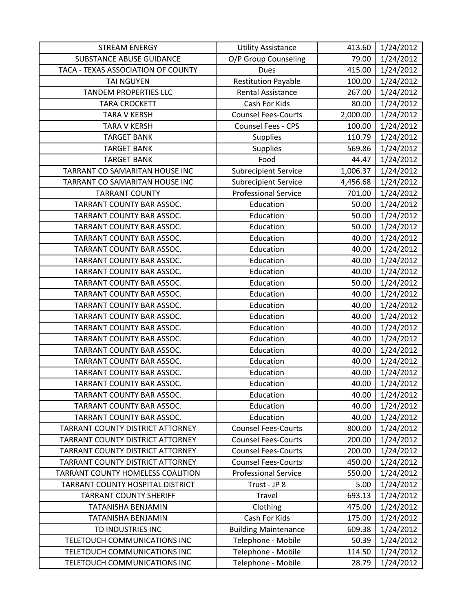| <b>STREAM ENERGY</b>                    | <b>Utility Assistance</b>   | 413.60   | 1/24/2012 |
|-----------------------------------------|-----------------------------|----------|-----------|
| <b>SUBSTANCE ABUSE GUIDANCE</b>         | O/P Group Counseling        | 79.00    | 1/24/2012 |
| TACA - TEXAS ASSOCIATION OF COUNTY      | <b>Dues</b>                 | 415.00   | 1/24/2012 |
| <b>TAI NGUYEN</b>                       | <b>Restitution Payable</b>  | 100.00   | 1/24/2012 |
| <b>TANDEM PROPERTIES LLC</b>            | <b>Rental Assistance</b>    | 267.00   | 1/24/2012 |
| <b>TARA CROCKETT</b>                    | Cash For Kids               | 80.00    | 1/24/2012 |
| <b>TARA V KERSH</b>                     | <b>Counsel Fees-Courts</b>  | 2,000.00 | 1/24/2012 |
| <b>TARA V KERSH</b>                     | Counsel Fees - CPS          | 100.00   | 1/24/2012 |
| <b>TARGET BANK</b>                      | Supplies                    | 110.79   | 1/24/2012 |
| <b>TARGET BANK</b>                      | <b>Supplies</b>             | 569.86   | 1/24/2012 |
| <b>TARGET BANK</b>                      | Food                        | 44.47    | 1/24/2012 |
| TARRANT CO SAMARITAN HOUSE INC          | <b>Subrecipient Service</b> | 1,006.37 | 1/24/2012 |
| TARRANT CO SAMARITAN HOUSE INC          | <b>Subrecipient Service</b> | 4,456.68 | 1/24/2012 |
| <b>TARRANT COUNTY</b>                   | <b>Professional Service</b> | 701.00   | 1/24/2012 |
| TARRANT COUNTY BAR ASSOC.               | Education                   | 50.00    | 1/24/2012 |
| TARRANT COUNTY BAR ASSOC.               | Education                   | 50.00    | 1/24/2012 |
| TARRANT COUNTY BAR ASSOC.               | Education                   | 50.00    | 1/24/2012 |
| TARRANT COUNTY BAR ASSOC.               | Education                   | 40.00    | 1/24/2012 |
| TARRANT COUNTY BAR ASSOC.               | Education                   | 40.00    | 1/24/2012 |
| TARRANT COUNTY BAR ASSOC.               | Education                   | 40.00    | 1/24/2012 |
| TARRANT COUNTY BAR ASSOC.               | Education                   | 40.00    | 1/24/2012 |
| TARRANT COUNTY BAR ASSOC.               | Education                   | 50.00    | 1/24/2012 |
| TARRANT COUNTY BAR ASSOC.               | Education                   | 40.00    | 1/24/2012 |
| TARRANT COUNTY BAR ASSOC.               | Education                   | 40.00    | 1/24/2012 |
| TARRANT COUNTY BAR ASSOC.               | Education                   | 40.00    | 1/24/2012 |
| TARRANT COUNTY BAR ASSOC.               | Education                   | 40.00    | 1/24/2012 |
| TARRANT COUNTY BAR ASSOC.               | Education                   | 40.00    | 1/24/2012 |
| TARRANT COUNTY BAR ASSOC.               | Education                   | 40.00    | 1/24/2012 |
| TARRANT COUNTY BAR ASSOC.               | Education                   | 40.00    | 1/24/2012 |
| TARRANT COUNTY BAR ASSOC.               | Education                   | 40.00    | 1/24/2012 |
| TARRANT COUNTY BAR ASSOC.               | Education                   | 40.00    | 1/24/2012 |
| TARRANT COUNTY BAR ASSOC.               | Education                   | 40.00    | 1/24/2012 |
| TARRANT COUNTY BAR ASSOC.               | Education                   | 40.00    | 1/24/2012 |
| TARRANT COUNTY BAR ASSOC.               | Education                   | 40.00    | 1/24/2012 |
| <b>TARRANT COUNTY DISTRICT ATTORNEY</b> | <b>Counsel Fees-Courts</b>  | 800.00   | 1/24/2012 |
| TARRANT COUNTY DISTRICT ATTORNEY        | <b>Counsel Fees-Courts</b>  | 200.00   | 1/24/2012 |
| <b>TARRANT COUNTY DISTRICT ATTORNEY</b> | <b>Counsel Fees-Courts</b>  | 200.00   | 1/24/2012 |
| TARRANT COUNTY DISTRICT ATTORNEY        | <b>Counsel Fees-Courts</b>  | 450.00   | 1/24/2012 |
| TARRANT COUNTY HOMELESS COALITION       | <b>Professional Service</b> | 550.00   | 1/24/2012 |
| TARRANT COUNTY HOSPITAL DISTRICT        | Trust - JP 8                | 5.00     | 1/24/2012 |
| <b>TARRANT COUNTY SHERIFF</b>           | Travel                      | 693.13   | 1/24/2012 |
| TATANISHA BENJAMIN                      | Clothing                    | 475.00   | 1/24/2012 |
| TATANISHA BENJAMIN                      | Cash For Kids               | 175.00   | 1/24/2012 |
| TD INDUSTRIES INC                       | <b>Building Maintenance</b> | 609.38   | 1/24/2012 |
| TELETOUCH COMMUNICATIONS INC            | Telephone - Mobile          | 50.39    | 1/24/2012 |
| TELETOUCH COMMUNICATIONS INC            | Telephone - Mobile          | 114.50   | 1/24/2012 |
| TELETOUCH COMMUNICATIONS INC            | Telephone - Mobile          | 28.79    | 1/24/2012 |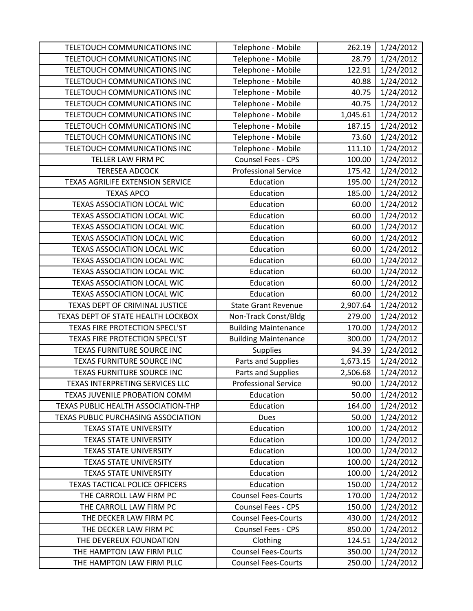| TELETOUCH COMMUNICATIONS INC               | Telephone - Mobile          | 262.19   | 1/24/2012 |
|--------------------------------------------|-----------------------------|----------|-----------|
| TELETOUCH COMMUNICATIONS INC               | Telephone - Mobile          | 28.79    | 1/24/2012 |
| TELETOUCH COMMUNICATIONS INC               | Telephone - Mobile          | 122.91   | 1/24/2012 |
| TELETOUCH COMMUNICATIONS INC               | Telephone - Mobile          | 40.88    | 1/24/2012 |
| TELETOUCH COMMUNICATIONS INC               | Telephone - Mobile          | 40.75    | 1/24/2012 |
| TELETOUCH COMMUNICATIONS INC               | Telephone - Mobile          | 40.75    | 1/24/2012 |
| TELETOUCH COMMUNICATIONS INC               | Telephone - Mobile          | 1,045.61 | 1/24/2012 |
| TELETOUCH COMMUNICATIONS INC               | Telephone - Mobile          | 187.15   | 1/24/2012 |
| TELETOUCH COMMUNICATIONS INC               | Telephone - Mobile          | 73.60    | 1/24/2012 |
| TELETOUCH COMMUNICATIONS INC               | Telephone - Mobile          | 111.10   | 1/24/2012 |
| TELLER LAW FIRM PC                         | Counsel Fees - CPS          | 100.00   | 1/24/2012 |
| <b>TERESEA ADCOCK</b>                      | <b>Professional Service</b> | 175.42   | 1/24/2012 |
| TEXAS AGRILIFE EXTENSION SERVICE           | Education                   | 195.00   | 1/24/2012 |
| <b>TEXAS APCO</b>                          | Education                   | 185.00   | 1/24/2012 |
| <b>TEXAS ASSOCIATION LOCAL WIC</b>         | Education                   | 60.00    | 1/24/2012 |
| TEXAS ASSOCIATION LOCAL WIC                | Education                   | 60.00    | 1/24/2012 |
| TEXAS ASSOCIATION LOCAL WIC                | Education                   | 60.00    | 1/24/2012 |
| TEXAS ASSOCIATION LOCAL WIC                | Education                   | 60.00    | 1/24/2012 |
| <b>TEXAS ASSOCIATION LOCAL WIC</b>         | Education                   | 60.00    | 1/24/2012 |
| TEXAS ASSOCIATION LOCAL WIC                | Education                   | 60.00    | 1/24/2012 |
| TEXAS ASSOCIATION LOCAL WIC                | Education                   | 60.00    | 1/24/2012 |
| TEXAS ASSOCIATION LOCAL WIC                | Education                   | 60.00    | 1/24/2012 |
| TEXAS ASSOCIATION LOCAL WIC                | Education                   | 60.00    | 1/24/2012 |
| TEXAS DEPT OF CRIMINAL JUSTICE             | <b>State Grant Revenue</b>  | 2,907.64 | 1/24/2012 |
| TEXAS DEPT OF STATE HEALTH LOCKBOX         | Non-Track Const/Bldg        | 279.00   | 1/24/2012 |
| TEXAS FIRE PROTECTION SPECL'ST             | <b>Building Maintenance</b> | 170.00   | 1/24/2012 |
| TEXAS FIRE PROTECTION SPECL'ST             | <b>Building Maintenance</b> | 300.00   | 1/24/2012 |
| TEXAS FURNITURE SOURCE INC                 | Supplies                    | 94.39    | 1/24/2012 |
| TEXAS FURNITURE SOURCE INC                 | Parts and Supplies          | 1,673.15 | 1/24/2012 |
| TEXAS FURNITURE SOURCE INC                 | Parts and Supplies          | 2,506.68 | 1/24/2012 |
| TEXAS INTERPRETING SERVICES LLC            | <b>Professional Service</b> | 90.00    | 1/24/2012 |
| TEXAS JUVENILE PROBATION COMM              | Education                   | 50.00    | 1/24/2012 |
| TEXAS PUBLIC HEALTH ASSOCIATION-THP        | Education                   | 164.00   | 1/24/2012 |
| <b>TEXAS PUBLIC PURCHASING ASSOCIATION</b> | Dues                        | 50.00    | 1/24/2012 |
| <b>TEXAS STATE UNIVERSITY</b>              | Education                   | 100.00   | 1/24/2012 |
| <b>TEXAS STATE UNIVERSITY</b>              | Education                   | 100.00   | 1/24/2012 |
| <b>TEXAS STATE UNIVERSITY</b>              | Education                   | 100.00   | 1/24/2012 |
| <b>TEXAS STATE UNIVERSITY</b>              | Education                   | 100.00   | 1/24/2012 |
| <b>TEXAS STATE UNIVERSITY</b>              | Education                   | 100.00   | 1/24/2012 |
| TEXAS TACTICAL POLICE OFFICERS             | Education                   | 150.00   | 1/24/2012 |
| THE CARROLL LAW FIRM PC                    | <b>Counsel Fees-Courts</b>  | 170.00   | 1/24/2012 |
| THE CARROLL LAW FIRM PC                    | Counsel Fees - CPS          | 150.00   | 1/24/2012 |
| THE DECKER LAW FIRM PC                     | <b>Counsel Fees-Courts</b>  | 430.00   | 1/24/2012 |
| THE DECKER LAW FIRM PC                     | <b>Counsel Fees - CPS</b>   | 850.00   | 1/24/2012 |
| THE DEVEREUX FOUNDATION                    | Clothing                    | 124.51   | 1/24/2012 |
| THE HAMPTON LAW FIRM PLLC                  | <b>Counsel Fees-Courts</b>  | 350.00   | 1/24/2012 |
| THE HAMPTON LAW FIRM PLLC                  | <b>Counsel Fees-Courts</b>  | 250.00   | 1/24/2012 |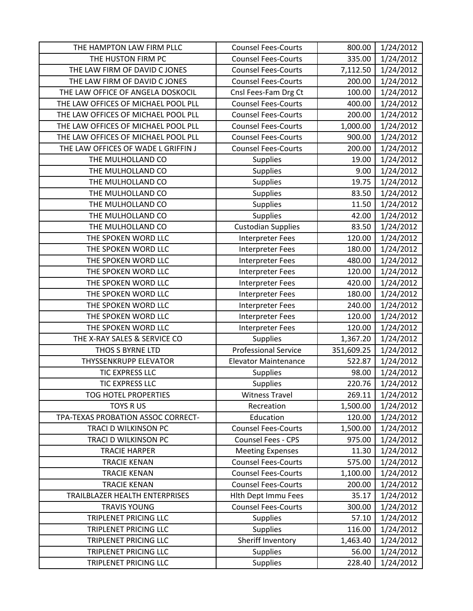| THE HAMPTON LAW FIRM PLLC           | <b>Counsel Fees-Courts</b>  | 800.00     | 1/24/2012 |
|-------------------------------------|-----------------------------|------------|-----------|
| THE HUSTON FIRM PC                  | <b>Counsel Fees-Courts</b>  | 335.00     | 1/24/2012 |
| THE LAW FIRM OF DAVID C JONES       | <b>Counsel Fees-Courts</b>  | 7,112.50   | 1/24/2012 |
| THE LAW FIRM OF DAVID C JONES       | <b>Counsel Fees-Courts</b>  | 200.00     | 1/24/2012 |
| THE LAW OFFICE OF ANGELA DOSKOCIL   | Cnsl Fees-Fam Drg Ct        | 100.00     | 1/24/2012 |
| THE LAW OFFICES OF MICHAEL POOL PLL | <b>Counsel Fees-Courts</b>  | 400.00     | 1/24/2012 |
| THE LAW OFFICES OF MICHAEL POOL PLL | <b>Counsel Fees-Courts</b>  | 200.00     | 1/24/2012 |
| THE LAW OFFICES OF MICHAEL POOL PLL | <b>Counsel Fees-Courts</b>  | 1,000.00   | 1/24/2012 |
| THE LAW OFFICES OF MICHAEL POOL PLL | <b>Counsel Fees-Courts</b>  | 900.00     | 1/24/2012 |
| THE LAW OFFICES OF WADE L GRIFFIN J | <b>Counsel Fees-Courts</b>  | 200.00     | 1/24/2012 |
| THE MULHOLLAND CO                   | <b>Supplies</b>             | 19.00      | 1/24/2012 |
| THE MULHOLLAND CO                   | <b>Supplies</b>             | 9.00       | 1/24/2012 |
| THE MULHOLLAND CO                   | <b>Supplies</b>             | 19.75      | 1/24/2012 |
| THE MULHOLLAND CO                   | <b>Supplies</b>             | 83.50      | 1/24/2012 |
| THE MULHOLLAND CO                   | <b>Supplies</b>             | 11.50      | 1/24/2012 |
| THE MULHOLLAND CO                   | <b>Supplies</b>             | 42.00      | 1/24/2012 |
| THE MULHOLLAND CO                   | <b>Custodian Supplies</b>   | 83.50      | 1/24/2012 |
| THE SPOKEN WORD LLC                 | Interpreter Fees            | 120.00     | 1/24/2012 |
| THE SPOKEN WORD LLC                 | <b>Interpreter Fees</b>     | 180.00     | 1/24/2012 |
| THE SPOKEN WORD LLC                 | <b>Interpreter Fees</b>     | 480.00     | 1/24/2012 |
| THE SPOKEN WORD LLC                 | Interpreter Fees            | 120.00     | 1/24/2012 |
| THE SPOKEN WORD LLC                 | Interpreter Fees            | 420.00     | 1/24/2012 |
| THE SPOKEN WORD LLC                 | <b>Interpreter Fees</b>     | 180.00     | 1/24/2012 |
| THE SPOKEN WORD LLC                 | <b>Interpreter Fees</b>     | 240.00     | 1/24/2012 |
| THE SPOKEN WORD LLC                 | <b>Interpreter Fees</b>     | 120.00     | 1/24/2012 |
| THE SPOKEN WORD LLC                 | Interpreter Fees            | 120.00     | 1/24/2012 |
| THE X-RAY SALES & SERVICE CO        | <b>Supplies</b>             | 1,367.20   | 1/24/2012 |
| THOS S BYRNE LTD                    | <b>Professional Service</b> | 351,609.25 | 1/24/2012 |
| <b>THYSSENKRUPP ELEVATOR</b>        | <b>Elevator Maintenance</b> | 522.87     | 1/24/2012 |
| TIC EXPRESS LLC                     | <b>Supplies</b>             | 98.00      | 1/24/2012 |
| <b>TIC EXPRESS LLC</b>              | <b>Supplies</b>             | 220.76     | 1/24/2012 |
| <b>TOG HOTEL PROPERTIES</b>         | <b>Witness Travel</b>       | 269.11     | 1/24/2012 |
| <b>TOYS RUS</b>                     | Recreation                  | 1,500.00   | 1/24/2012 |
| TPA-TEXAS PROBATION ASSOC CORRECT-  | Education                   | 120.00     | 1/24/2012 |
| TRACI D WILKINSON PC                | <b>Counsel Fees-Courts</b>  | 1,500.00   | 1/24/2012 |
| TRACI D WILKINSON PC                | <b>Counsel Fees - CPS</b>   | 975.00     | 1/24/2012 |
| <b>TRACIE HARPER</b>                | <b>Meeting Expenses</b>     | 11.30      | 1/24/2012 |
| <b>TRACIE KENAN</b>                 | <b>Counsel Fees-Courts</b>  | 575.00     | 1/24/2012 |
| <b>TRACIE KENAN</b>                 | <b>Counsel Fees-Courts</b>  | 1,100.00   | 1/24/2012 |
| <b>TRACIE KENAN</b>                 | <b>Counsel Fees-Courts</b>  | 200.00     | 1/24/2012 |
| TRAILBLAZER HEALTH ENTERPRISES      | <b>Hith Dept Immu Fees</b>  | 35.17      | 1/24/2012 |
| <b>TRAVIS YOUNG</b>                 | <b>Counsel Fees-Courts</b>  | 300.00     | 1/24/2012 |
| TRIPLENET PRICING LLC               | <b>Supplies</b>             | 57.10      | 1/24/2012 |
| TRIPLENET PRICING LLC               | <b>Supplies</b>             | 116.00     | 1/24/2012 |
| TRIPLENET PRICING LLC               | Sheriff Inventory           | 1,463.40   | 1/24/2012 |
| TRIPLENET PRICING LLC               | <b>Supplies</b>             | 56.00      | 1/24/2012 |
| TRIPLENET PRICING LLC               | <b>Supplies</b>             | 228.40     | 1/24/2012 |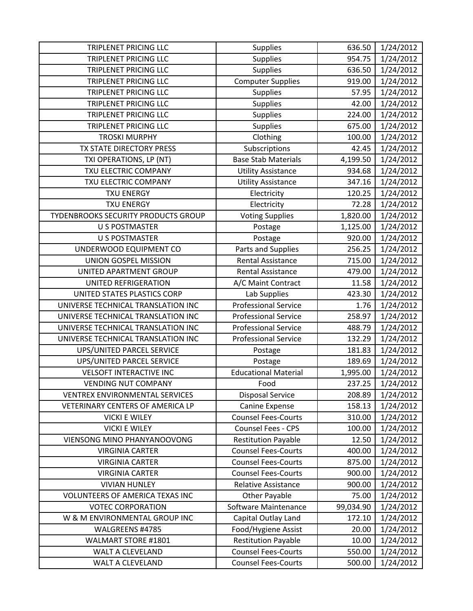| <b>TRIPLENET PRICING LLC</b>          | <b>Supplies</b>             | 636.50    | 1/24/2012 |
|---------------------------------------|-----------------------------|-----------|-----------|
| <b>TRIPLENET PRICING LLC</b>          | <b>Supplies</b>             | 954.75    | 1/24/2012 |
| TRIPLENET PRICING LLC                 | <b>Supplies</b>             | 636.50    | 1/24/2012 |
| <b>TRIPLENET PRICING LLC</b>          | <b>Computer Supplies</b>    | 919.00    | 1/24/2012 |
| <b>TRIPLENET PRICING LLC</b>          | <b>Supplies</b>             | 57.95     | 1/24/2012 |
| <b>TRIPLENET PRICING LLC</b>          | Supplies                    | 42.00     | 1/24/2012 |
| <b>TRIPLENET PRICING LLC</b>          | <b>Supplies</b>             | 224.00    | 1/24/2012 |
| <b>TRIPLENET PRICING LLC</b>          | <b>Supplies</b>             | 675.00    | 1/24/2012 |
| <b>TROSKI MURPHY</b>                  | Clothing                    | 100.00    | 1/24/2012 |
| TX STATE DIRECTORY PRESS              | Subscriptions               | 42.45     | 1/24/2012 |
| TXI OPERATIONS, LP (NT)               | <b>Base Stab Materials</b>  | 4,199.50  | 1/24/2012 |
| TXU ELECTRIC COMPANY                  | <b>Utility Assistance</b>   | 934.68    | 1/24/2012 |
| TXU ELECTRIC COMPANY                  | <b>Utility Assistance</b>   | 347.16    | 1/24/2012 |
| <b>TXU ENERGY</b>                     | Electricity                 | 120.25    | 1/24/2012 |
| <b>TXU ENERGY</b>                     | Electricity                 | 72.28     | 1/24/2012 |
| TYDENBROOKS SECURITY PRODUCTS GROUP   | <b>Voting Supplies</b>      | 1,820.00  | 1/24/2012 |
| <b>U S POSTMASTER</b>                 | Postage                     | 1,125.00  | 1/24/2012 |
| <b>U S POSTMASTER</b>                 | Postage                     | 920.00    | 1/24/2012 |
| UNDERWOOD EQUIPMENT CO                | Parts and Supplies          | 256.25    | 1/24/2012 |
| UNION GOSPEL MISSION                  | <b>Rental Assistance</b>    | 715.00    | 1/24/2012 |
| UNITED APARTMENT GROUP                | <b>Rental Assistance</b>    | 479.00    | 1/24/2012 |
| UNITED REFRIGERATION                  | A/C Maint Contract          | 11.58     | 1/24/2012 |
| UNITED STATES PLASTICS CORP           | Lab Supplies                | 423.30    | 1/24/2012 |
| UNIVERSE TECHNICAL TRANSLATION INC    | <b>Professional Service</b> | 1.76      | 1/24/2012 |
| UNIVERSE TECHNICAL TRANSLATION INC    | <b>Professional Service</b> | 258.97    | 1/24/2012 |
| UNIVERSE TECHNICAL TRANSLATION INC    | <b>Professional Service</b> | 488.79    | 1/24/2012 |
| UNIVERSE TECHNICAL TRANSLATION INC    | <b>Professional Service</b> | 132.29    | 1/24/2012 |
| UPS/UNITED PARCEL SERVICE             | Postage                     | 181.83    | 1/24/2012 |
| UPS/UNITED PARCEL SERVICE             | Postage                     | 189.69    | 1/24/2012 |
| <b>VELSOFT INTERACTIVE INC</b>        | <b>Educational Material</b> | 1,995.00  | 1/24/2012 |
| <b>VENDING NUT COMPANY</b>            | Food                        | 237.25    | 1/24/2012 |
| <b>VENTREX ENVIRONMENTAL SERVICES</b> | <b>Disposal Service</b>     | 208.89    | 1/24/2012 |
| VETERINARY CENTERS OF AMERICA LP      | Canine Expense              | 158.13    | 1/24/2012 |
| <b>VICKI E WILEY</b>                  | <b>Counsel Fees-Courts</b>  | 310.00    | 1/24/2012 |
| <b>VICKI E WILEY</b>                  | Counsel Fees - CPS          | 100.00    | 1/24/2012 |
| VIENSONG MINO PHANYANOOVONG           | <b>Restitution Payable</b>  | 12.50     | 1/24/2012 |
| <b>VIRGINIA CARTER</b>                | <b>Counsel Fees-Courts</b>  | 400.00    | 1/24/2012 |
| <b>VIRGINIA CARTER</b>                | <b>Counsel Fees-Courts</b>  | 875.00    | 1/24/2012 |
| <b>VIRGINIA CARTER</b>                | <b>Counsel Fees-Courts</b>  | 900.00    | 1/24/2012 |
| <b>VIVIAN HUNLEY</b>                  | Relative Assistance         | 900.00    | 1/24/2012 |
| VOLUNTEERS OF AMERICA TEXAS INC       | <b>Other Payable</b>        | 75.00     | 1/24/2012 |
| <b>VOTEC CORPORATION</b>              | Software Maintenance        | 99,034.90 | 1/24/2012 |
| W & M ENVIRONMENTAL GROUP INC         | Capital Outlay Land         | 172.10    | 1/24/2012 |
| WALGREENS #4785                       | Food/Hygiene Assist         | 20.00     | 1/24/2012 |
| WALMART STORE #1801                   | <b>Restitution Payable</b>  | 10.00     | 1/24/2012 |
| <b>WALT A CLEVELAND</b>               | <b>Counsel Fees-Courts</b>  | 550.00    | 1/24/2012 |
| WALT A CLEVELAND                      | <b>Counsel Fees-Courts</b>  | 500.00    | 1/24/2012 |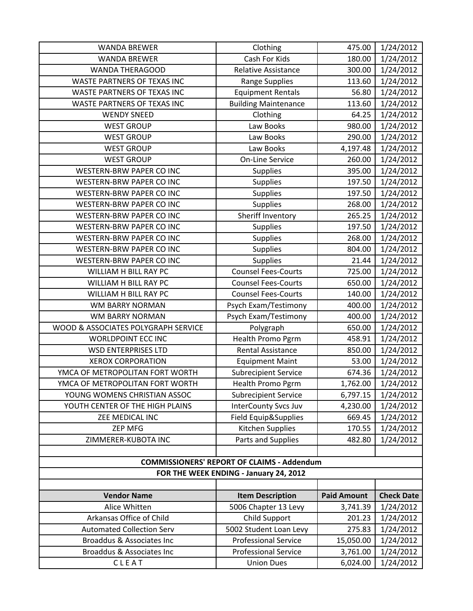| <b>WANDA BREWER</b>                    | Clothing                                              | 475.00                | 1/24/2012              |
|----------------------------------------|-------------------------------------------------------|-----------------------|------------------------|
| <b>WANDA BREWER</b>                    | Cash For Kids                                         | 180.00                | 1/24/2012              |
| <b>WANDA THERAGOOD</b>                 | <b>Relative Assistance</b>                            | 300.00                | 1/24/2012              |
| WASTE PARTNERS OF TEXAS INC            | Range Supplies                                        | 113.60                | 1/24/2012              |
| WASTE PARTNERS OF TEXAS INC            | <b>Equipment Rentals</b>                              | 56.80                 | 1/24/2012              |
| WASTE PARTNERS OF TEXAS INC            | <b>Building Maintenance</b>                           | 113.60                | 1/24/2012              |
| <b>WENDY SNEED</b>                     | Clothing                                              | 64.25                 | 1/24/2012              |
| <b>WEST GROUP</b>                      | Law Books                                             | 980.00                | 1/24/2012              |
| <b>WEST GROUP</b>                      | Law Books                                             | 290.00                | 1/24/2012              |
| <b>WEST GROUP</b>                      | Law Books                                             | 4,197.48              | 1/24/2012              |
| <b>WEST GROUP</b>                      | <b>On-Line Service</b>                                | 260.00                | 1/24/2012              |
| <b>WESTERN-BRW PAPER CO INC</b>        | Supplies                                              | 395.00                | 1/24/2012              |
| WESTERN-BRW PAPER CO INC               | Supplies                                              | 197.50                | 1/24/2012              |
| <b>WESTERN-BRW PAPER CO INC</b>        | Supplies                                              | 197.50                | 1/24/2012              |
| <b>WESTERN-BRW PAPER CO INC</b>        | Supplies                                              | 268.00                | 1/24/2012              |
| <b>WESTERN-BRW PAPER CO INC</b>        | Sheriff Inventory                                     | 265.25                | 1/24/2012              |
| WESTERN-BRW PAPER CO INC               | <b>Supplies</b>                                       | 197.50                | 1/24/2012              |
| WESTERN-BRW PAPER CO INC               | Supplies                                              | 268.00                | 1/24/2012              |
| WESTERN-BRW PAPER CO INC               | Supplies                                              | 804.00                | 1/24/2012              |
| WESTERN-BRW PAPER CO INC               | <b>Supplies</b>                                       | 21.44                 | 1/24/2012              |
| WILLIAM H BILL RAY PC                  | <b>Counsel Fees-Courts</b>                            | 725.00                | 1/24/2012              |
| WILLIAM H BILL RAY PC                  | <b>Counsel Fees-Courts</b>                            | 650.00                | 1/24/2012              |
| WILLIAM H BILL RAY PC                  | <b>Counsel Fees-Courts</b>                            | 140.00                | 1/24/2012              |
| <b>WM BARRY NORMAN</b>                 | Psych Exam/Testimony                                  | 400.00                | 1/24/2012              |
| <b>WM BARRY NORMAN</b>                 | Psych Exam/Testimony                                  | 400.00                | 1/24/2012              |
| WOOD & ASSOCIATES POLYGRAPH SERVICE    | Polygraph                                             | 650.00                | 1/24/2012              |
| WORLDPOINT ECC INC                     | Health Promo Pgrm                                     | 458.91                | 1/24/2012              |
| <b>WSD ENTERPRISES LTD</b>             | <b>Rental Assistance</b>                              | 850.00                | 1/24/2012              |
| <b>XEROX CORPORATION</b>               | <b>Equipment Maint</b>                                | 53.00                 | 1/24/2012              |
| YMCA OF METROPOLITAN FORT WORTH        | <b>Subrecipient Service</b>                           | 674.36                | 1/24/2012              |
| YMCA OF METROPOLITAN FORT WORTH        | <b>Health Promo Pgrm</b>                              | 1,762.00              | 1/24/2012              |
| YOUNG WOMENS CHRISTIAN ASSOC           | <b>Subrecipient Service</b>                           | 6,797.15              | 1/24/2012              |
| YOUTH CENTER OF THE HIGH PLAINS        | <b>InterCounty Svcs Juv</b>                           | 4,230.00              | 1/24/2012              |
| ZEE MEDICAL INC                        | Field Equip&Supplies                                  | 669.45                | 1/24/2012              |
| <b>ZEP MFG</b>                         | Kitchen Supplies                                      | 170.55                | 1/24/2012              |
| ZIMMERER-KUBOTA INC                    | Parts and Supplies                                    | 482.80                | 1/24/2012              |
|                                        | <b>COMMISSIONERS' REPORT OF CLAIMS - Addendum</b>     |                       |                        |
|                                        |                                                       |                       |                        |
| FOR THE WEEK ENDING - January 24, 2012 |                                                       |                       |                        |
| <b>Vendor Name</b>                     | <b>Item Description</b>                               | <b>Paid Amount</b>    | <b>Check Date</b>      |
| Alice Whitten                          | 5006 Chapter 13 Levy                                  | 3,741.39              | 1/24/2012              |
| Arkansas Office of Child               | Child Support                                         | 201.23                | 1/24/2012              |
|                                        |                                                       |                       |                        |
| <b>Automated Collection Serv</b>       |                                                       | 275.83                |                        |
| Broaddus & Associates Inc              | 5002 Student Loan Levy<br><b>Professional Service</b> |                       | 1/24/2012              |
| Broaddus & Associates Inc              | <b>Professional Service</b>                           | 15,050.00<br>3,761.00 | 1/24/2012<br>1/24/2012 |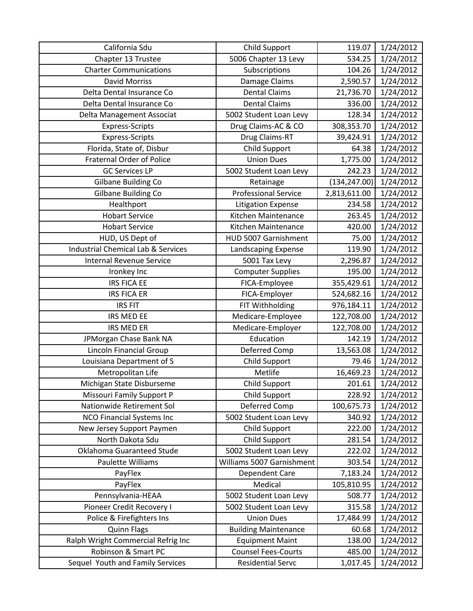| California Sdu                                | Child Support               | 119.07        | 1/24/2012 |
|-----------------------------------------------|-----------------------------|---------------|-----------|
| Chapter 13 Trustee                            | 5006 Chapter 13 Levy        | 534.25        | 1/24/2012 |
| <b>Charter Communications</b>                 | Subscriptions               | 104.26        | 1/24/2012 |
| <b>David Morriss</b>                          | Damage Claims               | 2,590.57      | 1/24/2012 |
| Delta Dental Insurance Co                     | <b>Dental Claims</b>        | 21,736.70     | 1/24/2012 |
| Delta Dental Insurance Co                     | <b>Dental Claims</b>        | 336.00        | 1/24/2012 |
| Delta Management Associat                     | 5002 Student Loan Levy      | 128.34        | 1/24/2012 |
| <b>Express-Scripts</b>                        | Drug Claims-AC & CO         | 308,353.70    | 1/24/2012 |
| <b>Express-Scripts</b>                        | Drug Claims-RT              | 39,424.91     | 1/24/2012 |
| Florida, State of, Disbur                     | Child Support               | 64.38         | 1/24/2012 |
| <b>Fraternal Order of Police</b>              | <b>Union Dues</b>           | 1,775.00      | 1/24/2012 |
| <b>GC Services LP</b>                         | 5002 Student Loan Levy      | 242.23        | 1/24/2012 |
| Gilbane Building Co                           | Retainage                   | (134, 247.00) | 1/24/2012 |
| Gilbane Building Co                           | <b>Professional Service</b> | 2,813,611.00  | 1/24/2012 |
| Healthport                                    | <b>Litigation Expense</b>   | 234.58        | 1/24/2012 |
| <b>Hobart Service</b>                         | Kitchen Maintenance         | 263.45        | 1/24/2012 |
| <b>Hobart Service</b>                         | Kitchen Maintenance         | 420.00        | 1/24/2012 |
| HUD, US Dept of                               | HUD 5007 Garnishment        | 75.00         | 1/24/2012 |
| <b>Industrial Chemical Lab &amp; Services</b> | Landscaping Expense         | 119.90        | 1/24/2012 |
| <b>Internal Revenue Service</b>               | 5001 Tax Levy               | 2,296.87      | 1/24/2012 |
| Ironkey Inc                                   | <b>Computer Supplies</b>    | 195.00        | 1/24/2012 |
| <b>IRS FICA EE</b>                            | FICA-Employee               | 355,429.61    | 1/24/2012 |
| <b>IRS FICA ER</b>                            | FICA-Employer               | 524,682.16    | 1/24/2012 |
| <b>IRS FIT</b>                                | FIT Withholding             | 976,184.11    | 1/24/2012 |
| IRS MED EE                                    | Medicare-Employee           | 122,708.00    | 1/24/2012 |
| <b>IRS MED ER</b>                             | Medicare-Employer           | 122,708.00    | 1/24/2012 |
| JPMorgan Chase Bank NA                        | Education                   | 142.19        | 1/24/2012 |
| <b>Lincoln Financial Group</b>                | Deferred Comp               | 13,563.08     | 1/24/2012 |
| Louisiana Department of S                     | Child Support               | 79.46         | 1/24/2012 |
| Metropolitan Life                             | Metlife                     | 16,469.23     | 1/24/2012 |
| Michigan State Disburseme                     | Child Support               | 201.61        | 1/24/2012 |
| Missouri Family Support P                     | Child Support               | 228.92        | 1/24/2012 |
| Nationwide Retirement Sol                     | Deferred Comp               | 100,675.73    | 1/24/2012 |
| <b>NCO Financial Systems Inc</b>              | 5002 Student Loan Levy      | 340.92        | 1/24/2012 |
| New Jersey Support Paymen                     | Child Support               | 222.00        | 1/24/2012 |
| North Dakota Sdu                              | Child Support               | 281.54        | 1/24/2012 |
| Oklahoma Guaranteed Stude                     | 5002 Student Loan Levy      | 222.02        | 1/24/2012 |
| Paulette Williams                             | Williams 5007 Garnishment   | 303.54        | 1/24/2012 |
| PayFlex                                       | Dependent Care              | 7,183.24      | 1/24/2012 |
| PayFlex                                       | Medical                     | 105,810.95    | 1/24/2012 |
| Pennsylvania-HEAA                             | 5002 Student Loan Levy      | 508.77        | 1/24/2012 |
| Pioneer Credit Recovery I                     | 5002 Student Loan Levy      | 315.58        | 1/24/2012 |
| Police & Firefighters Ins                     | <b>Union Dues</b>           | 17,484.99     | 1/24/2012 |
| <b>Quinn Flags</b>                            | <b>Building Maintenance</b> | 60.68         | 1/24/2012 |
| Ralph Wright Commercial Refrig Inc            | <b>Equipment Maint</b>      | 138.00        | 1/24/2012 |
| Robinson & Smart PC                           | <b>Counsel Fees-Courts</b>  | 485.00        | 1/24/2012 |
| Sequel Youth and Family Services              | <b>Residential Servc</b>    | 1,017.45      | 1/24/2012 |